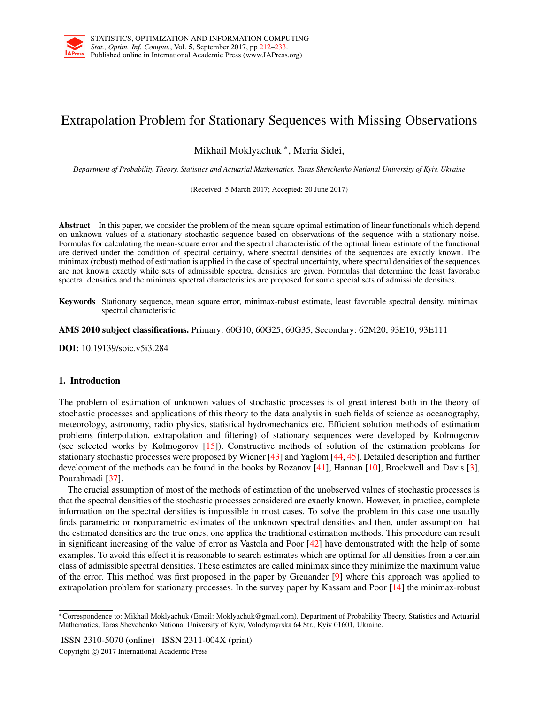

# Extrapolation Problem for Stationary Sequences with Missing Observations

Mikhail Moklyachuk *<sup>∗</sup>* , Maria Sidei,

*Department of Probability Theory, Statistics and Actuarial Mathematics, Taras Shevchenko National University of Kyiv, Ukraine*

(Received: 5 March 2017; Accepted: 20 June 2017)

Abstract In this paper, we consider the problem of the mean square optimal estimation of linear functionals which depend on unknown values of a stationary stochastic sequence based on observations of the sequence with a stationary noise. Formulas for calculating the mean-square error and the spectral characteristic of the optimal linear estimate of the functional are derived under the condition of spectral certainty, where spectral densities of the sequences are exactly known. The minimax (robust) method of estimation is applied in the case of spectral uncertainty, where spectral densities of the sequences are not known exactly while sets of admissible spectral densities are given. Formulas that determine the least favorable spectral densities and the minimax spectral characteristics are proposed for some special sets of admissible densities.

Keywords Stationary sequence, mean square error, minimax-robust estimate, least favorable spectral density, minimax spectral characteristic

AMS 2010 subject classifications. Primary: 60G10, 60G25, 60G35, Secondary: 62M20, 93E10, 93E111

DOI: 10.19139/soic.v5i3.284

## 1. Introduction

The problem of estimation of unknown values of stochastic processes is of great interest both in the theory of stochastic processes and applications of this theory to the data analysis in such fields of science as oceanography, meteorology, astronomy, radio physics, statistical hydromechanics etc. Efficient solution methods of estimation problems (interpolation, extrapolation and filtering) of stationary sequences were developed by Kolmogorov (see selected works by Kolmogorov [15]). Constructive methods of solution of the estimation problems for stationary stochastic processes were proposed by Wiener [43] and Yaglom [44, 45]. Detailed description and further development of the methods can be found in the books by Rozanov [41], Hannan [10], Brockwell and Davis [3], Pourahmadi [37].

The crucial assumption of most of the methods of estimation of the unobserved values of stochastic processes is that the spectral densities of the stochastic processes considered are exactly known. However, in practice, complete information on the spectral densities is impossible in most cases. To solve the problem in this case one usually finds parametric or nonparametric estimates of the unknown spectral densities and then, under assumption that the estimated densities are the true ones, one applies the traditional estimation methods. This procedure can result in significant increasing of the value of error as Vastola and Poor [42] have demonstrated with the help of some examples. To avoid this effect it is reasonable to search estimates which are optimal for all densities from a certain class of admissible spectral densities. These estimates are called minimax since they minimize the maximum value of the error. This method was first proposed in the paper by Grenander [9] where this approach was applied to extrapolation problem for stationary processes. In the survey paper by Kassam and Poor [14] the minimax-robust

ISSN 2310-5070 (online) ISSN 2311-004X (print) Copyright *⃝*c 2017 International Academic Press

*<sup>∗</sup>*Correspondence to: Mikhail Moklyachuk (Email: Moklyachuk@gmail.com). Department of Probability Theory, Statistics and Actuarial Mathematics, Taras Shevchenko National University of Kyiv, Volodymyrska 64 Str., Kyiv 01601, Ukraine.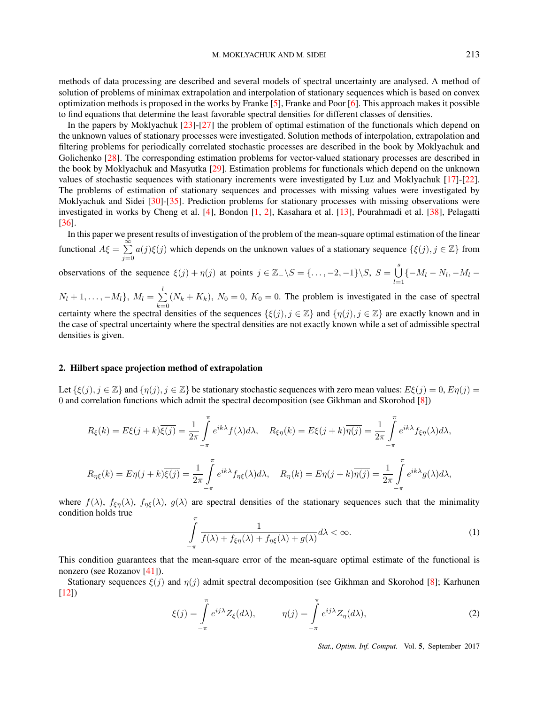methods of data processing are described and several models of spectral uncertainty are analysed. A method of solution of problems of minimax extrapolation and interpolation of stationary sequences which is based on convex optimization methods is proposed in the works by Franke [5], Franke and Poor [6]. This approach makes it possible to find equations that determine the least favorable spectral densities for different classes of densities.

In the papers by Moklyachuk [23]-[27] the problem of optimal estimation of the functionals which depend on the unknown values of stationary processes were investigated. Solution methods of interpolation, extrapolation and filtering problems for periodically correlated stochastic processes are described in the book by Moklyachuk and Golichenko [28]. The corresponding estimation problems for vector-valued stationary processes are described in the book by Moklyachuk and Masyutka [29]. Estimation problems for functionals which depend on the unknown values of stochastic sequences with stationary increments were investigated by Luz and Moklyachuk [17]-[22]. The problems of estimation of stationary sequences and processes with missing values were investigated by Moklyachuk and Sidei [30]-[35]. Prediction problems for stationary processes with missing observations were investigated in works by Cheng et al. [4], Bondon [1, 2], Kasahara et al. [13], Pourahmadi et al. [38], Pelagatti [36].

In this paper we present results of investigation of the problem of the mean-square optimal estimation of the linear functional  $A\xi = \sum^{\infty}$  $\sum_{j=0} a(j)\xi(j)$  which depends on the unknown values of a stationary sequence  $\{\xi(j), j \in \mathbb{Z}\}\$  from

observations of the sequence  $\xi(j) + \eta(j)$  at points  $j \in \mathbb{Z} \setminus S = \{..., -2, -1\} \setminus S$ ,  $S = \bigcup_{j=1}^{s}$  $\bigcup_{l=1}$  { $-M_l - N_l, -M_l -$ 

 $N_l + 1, \ldots, -M_l$ ,  $M_l = \sum_{k=1}^{l} (N_k + K_k)$ ,  $N_0 = 0$ ,  $K_0 = 0$ . The problem is investigated in the case of spectral certainty where the spectral densities of the sequences  $\{\xi(j), j \in \mathbb{Z}\}\$  and  $\{\eta(j), j \in \mathbb{Z}\}\$  are exactly known and in the case of spectral uncertainty where the spectral densities are not exactly known while a set of admissible spectral densities is given.

## 2. Hilbert space projection method of extrapolation

Let  $\{\xi(j), j \in \mathbb{Z}\}\$  and  $\{\eta(j), j \in \mathbb{Z}\}\$  be stationary stochastic sequences with zero mean values:  $E\xi(j) = 0$ ,  $E\eta(j) = 0$ 0 and correlation functions which admit the spectral decomposition (see Gikhman and Skorohod [8])

$$
R_{\xi}(k) = E\xi(j+k)\overline{\xi(j)} = \frac{1}{2\pi} \int_{-\pi}^{\pi} e^{ik\lambda} f(\lambda) d\lambda, \quad R_{\xi\eta}(k) = E\xi(j+k)\overline{\eta(j)} = \frac{1}{2\pi} \int_{-\pi}^{\pi} e^{ik\lambda} f_{\xi\eta}(\lambda) d\lambda,
$$
  

$$
R_{\eta\xi}(k) = E\eta(j+k)\overline{\xi(j)} = \frac{1}{2\pi} \int_{-\pi}^{\pi} e^{ik\lambda} f_{\eta\xi}(\lambda) d\lambda, \quad R_{\eta}(k) = E\eta(j+k)\overline{\eta(j)} = \frac{1}{2\pi} \int_{-\pi}^{\pi} e^{ik\lambda} g(\lambda) d\lambda,
$$

where  $f(\lambda)$ ,  $f_{\xi\eta}(\lambda)$ ,  $f_{\eta\xi}(\lambda)$ ,  $g(\lambda)$  are spectral densities of the stationary sequences such that the minimality condition holds true

$$
\int_{-\pi}^{\pi} \frac{1}{f(\lambda) + f_{\xi\eta}(\lambda) + f_{\eta\xi}(\lambda) + g(\lambda)} d\lambda < \infty. \tag{1}
$$

This condition guarantees that the mean-square error of the mean-square optimal estimate of the functional is nonzero (see Rozanov [41]).

Stationary sequences *ξ*(*j*) and *η*(*j*) admit spectral decomposition (see Gikhman and Skorohod [8]; Karhunen  $[12]$ 

$$
\xi(j) = \int_{-\pi}^{\pi} e^{ij\lambda} Z_{\xi}(d\lambda), \qquad \eta(j) = \int_{-\pi}^{\pi} e^{ij\lambda} Z_{\eta}(d\lambda), \tag{2}
$$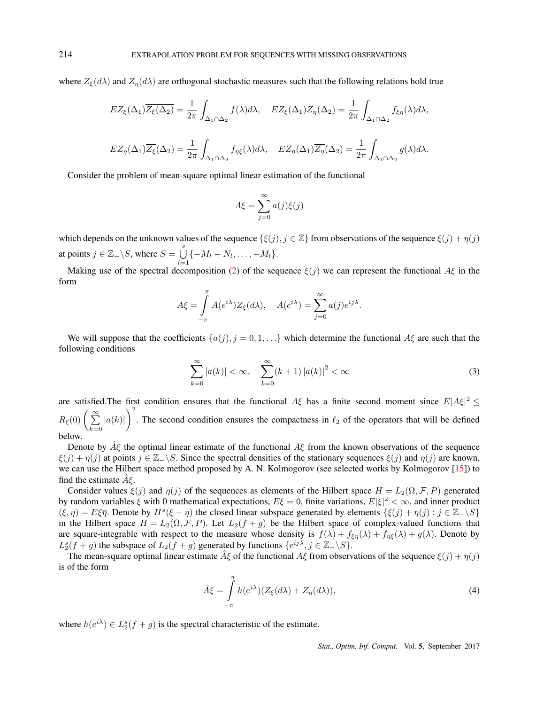where  $Z_{\xi}(d\lambda)$  and  $Z_{\eta}(d\lambda)$  are orthogonal stochastic measures such that the following relations hold true

$$
EZ_{\xi}(\Delta_1)\overline{Z_{\xi}(\Delta_2)} = \frac{1}{2\pi} \int_{\Delta_1 \cap \Delta_2} f(\lambda) d\lambda, \quad EZ_{\xi}(\Delta_1)\overline{Z_{\eta}}(\Delta_2) = \frac{1}{2\pi} \int_{\Delta_1 \cap \Delta_2} f_{\xi\eta}(\lambda) d\lambda,
$$
  

$$
EZ_{\eta}(\Delta_1)\overline{Z_{\xi}}(\Delta_2) = \frac{1}{2\pi} \int_{\Delta_1 \cap \Delta_2} f_{\eta\xi}(\lambda) d\lambda, \quad EZ_{\eta}(\Delta_1)\overline{Z_{\eta}}(\Delta_2) = \frac{1}{2\pi} \int_{\Delta_1 \cap \Delta_2} g(\lambda) d\lambda.
$$

Consider the problem of mean-square optimal linear estimation of the functional

$$
A\xi = \sum_{j=0}^{\infty} a(j)\xi(j)
$$

which depends on the unknown values of the sequence  $\{\xi(j), j \in \mathbb{Z}\}\$  from observations of the sequence  $\xi(j) + \eta(j)$ at points  $j \in \mathbb{Z}_- \backslash S$ , where  $S = \bigcup_{i=1}^s S_i$  $\bigcup_{l=1} \{-M_l - N_l, \ldots, -M_l\}.$ 

Making use of the spectral decomposition (2) of the sequence  $\xi(j)$  we can represent the functional  $A\xi$  in the form

$$
A\xi = \int_{-\pi}^{\pi} A(e^{i\lambda}) Z_{\xi}(d\lambda), \quad A(e^{i\lambda}) = \sum_{j=0}^{\infty} a(j) e^{ij\lambda}.
$$

We will suppose that the coefficients  $\{a(j), j = 0, 1, ...\}$  which determine the functional  $A\xi$  are such that the following conditions

$$
\sum_{k=0}^{\infty} |a(k)| < \infty, \quad \sum_{k=0}^{\infty} (k+1) |a(k)|^2 < \infty \tag{3}
$$

are satisfied. The first condition ensures that the functional  $A\xi$  has a finite second moment since  $E|A\xi|^2 \le$  $R_{\xi}(0) \left( \sum_{k=0}^{\infty} \right)$  $|a(k)|$ <sup>2</sup>. The second condition ensures the compactness in  $\ell_2$  of the operators that will be defined below.

Denote by *Aξ*ˆ the optimal linear estimate of the functional *Aξ* from the known observations of the sequence *ξ*(*j*) + *η*(*j*) at points *j* ∈ Z− $\setminus$ *S*. Since the spectral densities of the stationary sequences *ξ*(*j*) and *η*(*j*) are known, we can use the Hilbert space method proposed by A. N. Kolmogorov (see selected works by Kolmogorov [15]) to find the estimate  $A$ ξ.

Consider values  $\xi(j)$  and  $\eta(j)$  of the sequences as elements of the Hilbert space  $H = L_2(\Omega, \mathcal{F}, P)$  generated by random variables *ξ* with 0 mathematical expectations, *Eξ* = 0, finite variations, *E|ξ|* <sup>2</sup> *< ∞*, and inner product  $(\xi, \eta) = E\xi\overline{\eta}$ . Denote by  $H^s(\xi + \eta)$  the closed linear subspace generated by elements  $\{\xi(j) + \eta(j) : j \in \mathbb{Z}_+\setminus S\}$ in the Hilbert space  $H = L_2(\Omega, \mathcal{F}, P)$ . Let  $L_2(f + g)$  be the Hilbert space of complex-valued functions that are square-integrable with respect to the measure whose density is  $f(\lambda) + f_{\xi\eta}(\lambda) + f_{\eta\xi}(\lambda) + g(\lambda)$ . Denote by  $L_2^s(f+g)$  the subspace of  $L_2(f+g)$  generated by functions  $\{e^{ij\lambda}, j \in \mathbb{Z}_-\setminus S\}$ .

The mean-square optimal linear estimate  $\hat{A}\xi$  of the functional  $A\xi$  from observations of the sequence  $\xi(j) + \eta(j)$ is of the form

$$
\hat{A}\xi = \int_{-\pi}^{\pi} h(e^{i\lambda})(Z_{\xi}(d\lambda) + Z_{\eta}(d\lambda)),\tag{4}
$$

where  $h(e^{i\lambda}) \in L_2^s(f+g)$  is the spectral characteristic of the estimate.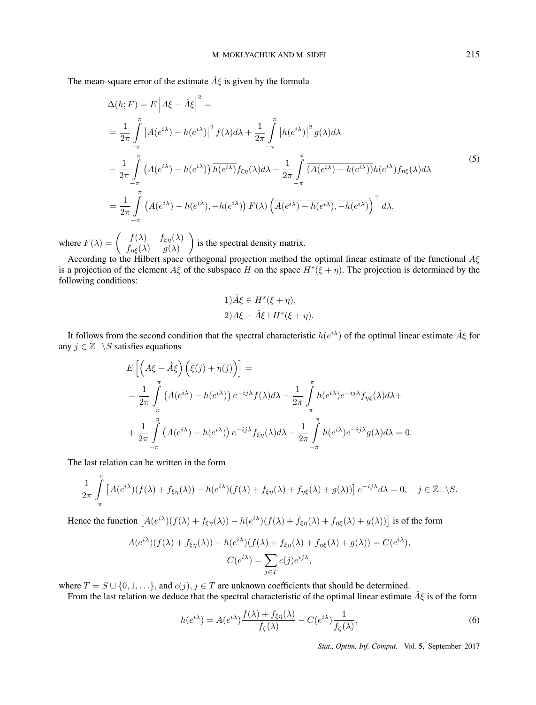The mean-square error of the estimate *Aξ*ˆ is given by the formula

$$
\Delta(h;F) = E \left| A\xi - \hat{A}\xi \right|^2 =
$$
\n
$$
= \frac{1}{2\pi} \int_{-\pi}^{\pi} \left| A(e^{i\lambda}) - h(e^{i\lambda}) \right|^2 f(\lambda) d\lambda + \frac{1}{2\pi} \int_{-\pi}^{\pi} \left| h(e^{i\lambda}) \right|^2 g(\lambda) d\lambda
$$
\n
$$
- \frac{1}{2\pi} \int_{-\pi}^{\pi} \left( A(e^{i\lambda}) - h(e^{i\lambda}) \right) \overline{h(e^{i\lambda})} f_{\xi\eta}(\lambda) d\lambda - \frac{1}{2\pi} \int_{-\pi}^{\pi} \overline{A(e^{i\lambda}) - h(e^{i\lambda})} h(e^{i\lambda}) f_{\eta\xi}(\lambda) d\lambda
$$
\n
$$
= \frac{1}{2\pi} \int_{-\pi}^{\pi} \left( A(e^{i\lambda}) - h(e^{i\lambda}), - h(e^{i\lambda}) \right) F(\lambda) \left( \overline{A(e^{i\lambda}) - h(e^{i\lambda})}, \overline{-h(e^{i\lambda})} \right)^{\top} d\lambda,
$$
\n(5)

where  $F(\lambda) = \begin{pmatrix} f(\lambda) & f_{\xi\eta}(\lambda) \\ f_{\xi\eta}(\lambda) & g(\lambda) \end{pmatrix}$ *f*<sub>*ηξ*</sub>( $λ$ ) *g*( $λ$ ) ) is the spectral density matrix.

According to the Hilbert space orthogonal projection method the optimal linear estimate of the functional *Aξ* is a projection of the element  $A\xi$  of the subspace *H* on the space  $H^s(\xi + \eta)$ . The projection is determined by the following conditions:

$$
1)\hat{A}\xi \in H^{s}(\xi + \eta),
$$
  

$$
2)A\xi - \hat{A}\xi \perp H^{s}(\xi + \eta).
$$

It follows from the second condition that the spectral characteristic *h*(*e iλ*) of the optimal linear estimate *Aξ*ˆ for any  $j \in \mathbb{Z}$   $\setminus$ *S* satisfies equations

$$
E\left[\left(A\xi - \hat{A}\xi\right)\left(\overline{\xi(j)} + \overline{\eta(j)}\right)\right] =
$$
  
=  $\frac{1}{2\pi} \int_{-\pi}^{\pi} \left(A(e^{i\lambda}) - h(e^{i\lambda})\right) e^{-ij\lambda} f(\lambda) d\lambda - \frac{1}{2\pi} \int_{-\pi}^{\pi} h(e^{i\lambda}) e^{-ij\lambda} f_{\eta\xi}(\lambda) d\lambda +$   
+  $\frac{1}{2\pi} \int_{-\pi}^{\pi} \left(A(e^{i\lambda}) - h(e^{i\lambda})\right) e^{-ij\lambda} f_{\xi\eta}(\lambda) d\lambda - \frac{1}{2\pi} \int_{-\pi}^{\pi} h(e^{i\lambda}) e^{-ij\lambda} g(\lambda) d\lambda = 0.$ 

The last relation can be written in the form

$$
\frac{1}{2\pi} \int_{-\pi}^{\pi} \left[ A(e^{i\lambda})(f(\lambda) + f_{\xi\eta}(\lambda)) - h(e^{i\lambda})(f(\lambda) + f_{\xi\eta}(\lambda) + f_{\eta\xi}(\lambda) + g(\lambda)) \right] e^{-ij\lambda} d\lambda = 0, \quad j \in \mathbb{Z}_-\backslash S.
$$

Hence the function  $[A(e^{i\lambda})(f(\lambda) + f_{\xi\eta}(\lambda)) - h(e^{i\lambda})(f(\lambda) + f_{\xi\eta}(\lambda) + f_{\eta\xi}(\lambda) + g(\lambda))]$  is of the form

$$
A(e^{i\lambda})(f(\lambda) + f_{\xi\eta}(\lambda)) - h(e^{i\lambda})(f(\lambda) + f_{\xi\eta}(\lambda) + f_{\eta\xi}(\lambda) + g(\lambda)) = C(e^{i\lambda}),
$$
  

$$
C(e^{i\lambda}) = \sum_{j \in T} c(j)e^{ij\lambda},
$$

where  $T = S \cup \{0, 1, \ldots\}$ , and  $c(j), j \in T$  are unknown coefficients that should be determined.

From the last relation we deduce that the spectral characteristic of the optimal linear estimate *Aξ*ˆ is of the form

$$
h(e^{i\lambda}) = A(e^{i\lambda}) \frac{f(\lambda) + f_{\xi\eta}(\lambda)}{f_{\zeta}(\lambda)} - C(e^{i\lambda}) \frac{1}{f_{\zeta}(\lambda)},
$$
\n(6)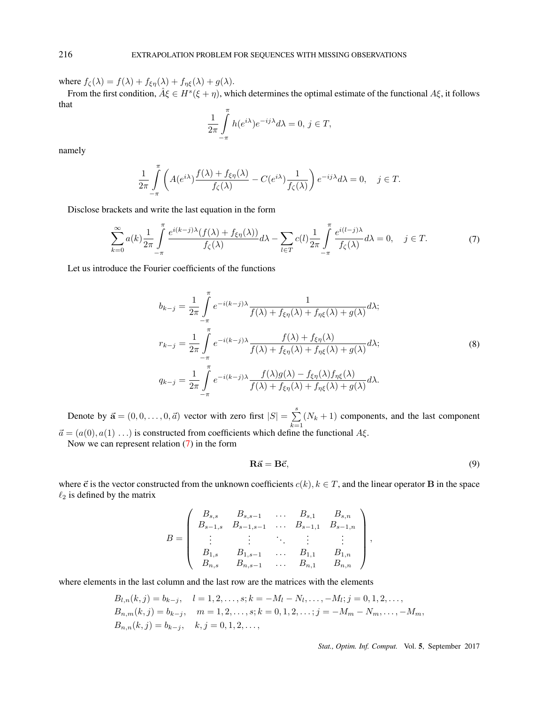where  $f_{\zeta}(\lambda) = f(\lambda) + f_{\xi\eta}(\lambda) + f_{\eta\xi}(\lambda) + g(\lambda)$ .

From the first condition,  $\hat{A}\xi \in H^s(\xi + \eta)$ , which determines the optimal estimate of the functional  $A\xi$ , it follows that

$$
\frac{1}{2\pi} \int_{-\pi}^{\pi} h(e^{i\lambda}) e^{-ij\lambda} d\lambda = 0, j \in T,
$$

namely

$$
\frac{1}{2\pi} \int_{-\pi}^{\pi} \left( A(e^{i\lambda}) \frac{f(\lambda) + f_{\xi\eta}(\lambda)}{f_{\zeta}(\lambda)} - C(e^{i\lambda}) \frac{1}{f_{\zeta}(\lambda)} \right) e^{-ij\lambda} d\lambda = 0, \quad j \in T.
$$

Disclose brackets and write the last equation in the form

$$
\sum_{k=0}^{\infty} a(k) \frac{1}{2\pi} \int_{-\pi}^{\pi} \frac{e^{i(k-j)\lambda} (f(\lambda) + f_{\xi\eta}(\lambda))}{f_{\zeta}(\lambda)} d\lambda - \sum_{l \in T} c(l) \frac{1}{2\pi} \int_{-\pi}^{\pi} \frac{e^{i(l-j)\lambda}}{f_{\zeta}(\lambda)} d\lambda = 0, \quad j \in T.
$$
 (7)

Let us introduce the Fourier coefficients of the functions

$$
b_{k-j} = \frac{1}{2\pi} \int_{-\pi}^{\pi} e^{-i(k-j)\lambda} \frac{1}{f(\lambda) + f_{\xi\eta}(\lambda) + f_{\eta\xi}(\lambda) + g(\lambda)} d\lambda;
$$
  

$$
r_{k-j} = \frac{1}{2\pi} \int_{-\pi}^{\pi} e^{-i(k-j)\lambda} \frac{f(\lambda) + f_{\xi\eta}(\lambda)}{f(\lambda) + f_{\xi\eta}(\lambda) + f_{\eta\xi}(\lambda) + g(\lambda)} d\lambda;
$$
  

$$
q_{k-j} = \frac{1}{2\pi} \int_{-\pi}^{\pi} e^{-i(k-j)\lambda} \frac{f(\lambda)g(\lambda) - f_{\xi\eta}(\lambda)f_{\eta\xi}(\lambda)}{f(\lambda) + f_{\xi\eta}(\lambda) + f_{\eta\xi}(\lambda) + g(\lambda)} d\lambda.
$$
  
(8)

Denote by  $\vec{\mathbf{a}} = (0, 0, \dots, 0, \vec{a})$  vector with zero first  $|S| = \sum_{i=1}^{s}$  $\sum_{k=1}^{n} (N_k + 1)$  components, and the last component  $\vec{a} = (a(0), a(1) \ldots)$  is constructed from coefficients which define the functional *A* $\xi$ .

Now we can represent relation (7) in the form

$$
\mathbf{R}\vec{\mathbf{a}} = \mathbf{B}\vec{\mathbf{c}},\tag{9}
$$

where  $\vec{c}$  is the vector constructed from the unknown coefficients  $c(k)$ ,  $k \in T$ , and the linear operator **B** in the space  $\ell_2$  is defined by the matrix

$$
B = \begin{pmatrix} B_{s,s} & B_{s,s-1} & \dots & B_{s,1} & B_{s,n} \\ B_{s-1,s} & B_{s-1,s-1} & \dots & B_{s-1,1} & B_{s-1,n} \\ \vdots & \vdots & \ddots & \vdots & \vdots \\ B_{1,s} & B_{1,s-1} & \dots & B_{1,1} & B_{1,n} \\ B_{n,s} & B_{n,s-1} & \dots & B_{n,1} & B_{n,n} \end{pmatrix},
$$

where elements in the last column and the last row are the matrices with the elements

$$
B_{l,n}(k,j) = b_{k-j}, \quad l = 1, 2, ..., s; k = -M_l - N_l, ..., -M_l; j = 0, 1, 2, ...,
$$
  
\n
$$
B_{n,m}(k,j) = b_{k-j}, \quad m = 1, 2, ..., s; k = 0, 1, 2, ..., j = -M_m - N_m, ..., -M_m,
$$
  
\n
$$
B_{n,n}(k,j) = b_{k-j}, \quad k, j = 0, 1, 2, ...,
$$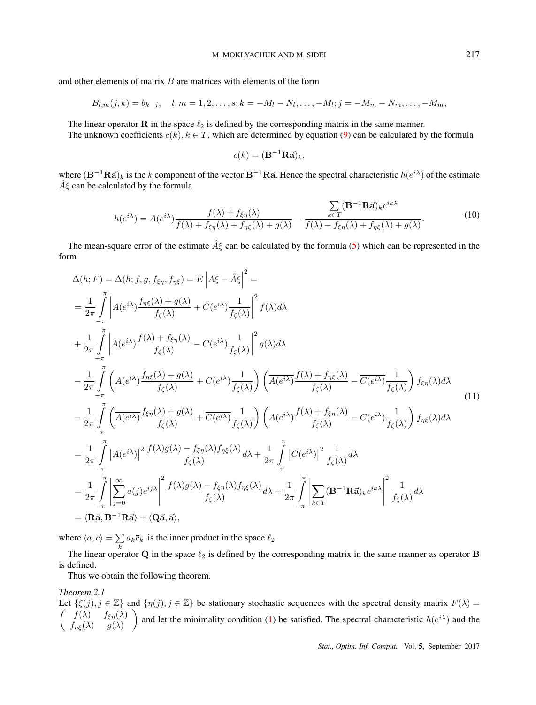and other elements of matrix *B* are matrices with elements of the form

$$
B_{l,m}(j,k) = b_{k-j}, \quad l,m = 1,2,\ldots,s; k = -M_l - N_l, \ldots, -M_l; j = -M_m - N_m, \ldots, -M_m,
$$

The linear operator **R** in the space  $\ell_2$  is defined by the corresponding matrix in the same manner. The unknown coefficients  $c(k)$ ,  $k \in T$ , which are determined by equation (9) can be calculated by the formula

$$
c(k) = (\mathbf{B}^{-1}\mathbf{R}\vec{\mathbf{a}})_k,
$$

where  $(B^{-1}R\vec{a})_k$  is the *k* component of the vector  $B^{-1}R\vec{a}$ . Hence the spectral characteristic  $h(e^{i\lambda})$  of the estimate *Aξ*ˆ can be calculated by the formula

$$
h(e^{i\lambda}) = A(e^{i\lambda}) \frac{f(\lambda) + f_{\xi\eta}(\lambda)}{f(\lambda) + f_{\xi\eta}(\lambda) + f_{\eta\xi}(\lambda) + g(\lambda)} - \frac{\sum_{k \in T} (\mathbf{B}^{-1} \mathbf{R}\vec{\mathbf{a}}) e^{ik\lambda}}{f(\lambda) + f_{\eta\xi}(\lambda) + f_{\eta\xi}(\lambda) + g(\lambda)}.
$$
(10)

The mean-square error of the estimate *Aξ*ˆ can be calculated by the formula (5) which can be represented in the form

$$
\Delta(h;F) = \Delta(h;f,g,f_{\epsilon\eta},f_{\eta\xi}) = E\left|A\xi - \hat{A}\xi\right|^2 =
$$
\n
$$
= \frac{1}{2\pi} \int_{-\pi}^{\pi} \left| A(e^{i\lambda}) \frac{f_{\eta\xi}(\lambda) + g(\lambda)}{f_{\zeta}(\lambda)} + C(e^{i\lambda}) \frac{1}{f_{\zeta}(\lambda)} \right|^2 f(\lambda) d\lambda
$$
\n
$$
+ \frac{1}{2\pi} \int_{-\pi}^{\pi} \left| A(e^{i\lambda}) \frac{f(\lambda) + f_{\xi\eta}(\lambda)}{f_{\zeta}(\lambda)} - C(e^{i\lambda}) \frac{1}{f_{\zeta}(\lambda)} \right|^2 g(\lambda) d\lambda
$$
\n
$$
- \frac{1}{2\pi} \int_{-\pi}^{\pi} \left( A(e^{i\lambda}) \frac{f_{\eta\xi}(\lambda) + g(\lambda)}{f_{\zeta}(\lambda)} + C(e^{i\lambda}) \frac{1}{f_{\zeta}(\lambda)} \right) \left( \frac{f(\lambda) + f_{\eta\xi}(\lambda)}{f_{\zeta}(\lambda)} - \frac{1}{C(e^{i\lambda})} \frac{1}{f_{\zeta}(\lambda)} \right) f_{\xi\eta}(\lambda) d\lambda
$$
\n
$$
- \frac{1}{2\pi} \int_{-\pi}^{\pi} \left( \frac{f_{\zeta}(\lambda) + g(\lambda) + g(\lambda)}{f_{\zeta}(\lambda)} + \frac{1}{C(e^{i\lambda})} \frac{1}{f_{\zeta}(\lambda)} \right) \left( A(e^{i\lambda}) \frac{f(\lambda) + f_{\epsilon\eta}(\lambda)}{f_{\zeta}(\lambda)} - C(e^{i\lambda}) \frac{1}{f_{\zeta}(\lambda)} \right) f_{\eta\xi}(\lambda) d\lambda
$$
\n
$$
= \frac{1}{2\pi} \int_{-\pi}^{\pi} |A(e^{i\lambda})|^2 \frac{f(\lambda)g(\lambda) - f_{\xi\eta}(\lambda) f_{\eta\xi}(\lambda)}{f_{\zeta}(\lambda)} d\lambda + \frac{1}{2\pi} \int_{-\pi}^{\pi} |C(e^{i\lambda})|^2 \frac{1}{f_{\zeta}(\lambda)} d\lambda
$$
\n
$$
= \frac{1}{2\pi} \int_{-\pi}^{\pi} \left| \sum_{j=0
$$

where  $\langle a, c \rangle = \sum a_k \overline{c}_k$  is the inner product in the space  $\ell_2$ .

*k* The linear operator **Q** in the space *ℓ*<sup>2</sup> is defined by the corresponding matrix in the same manner as operator **B** is defined.

Thus we obtain the following theorem.

## *Theorem 2.1*

Let  $\{\xi(j), j \in \mathbb{Z}\}\$  and  $\{\eta(j), j \in \mathbb{Z}\}\$  be stationary stochastic sequences with the spectral density matrix  $F(\lambda) =$  $\int f(\lambda) = f_{\xi\eta}(\lambda)$ *f*<sub>*ηξ*</sub>( $\lambda$ ) *g*( $\lambda$ ) and let the minimality condition (1) be satisfied. The spectral characteristic  $h(e^{i\lambda})$  and the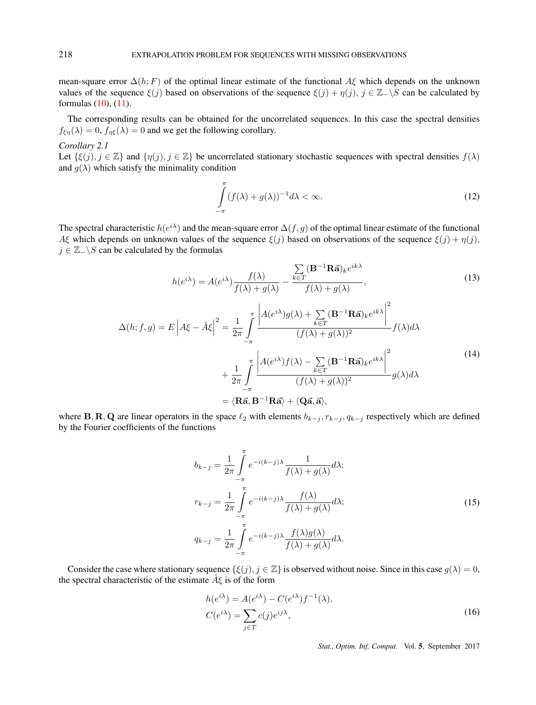mean-square error ∆(*h*; *F*) of the optimal linear estimate of the functional *Aξ* which depends on the unknown values of the sequence  $\xi(j)$  based on observations of the sequence  $\xi(j) + \eta(j)$ ,  $j \in \mathbb{Z} \setminus S$  can be calculated by formulas (10), (11).

The corresponding results can be obtained for the uncorrelated sequences. In this case the spectral densities  $f_{\xi\eta}(\lambda) = 0$ ,  $f_{\eta\xi}(\lambda) = 0$  and we get the following corollary.

*Corollary 2.1*

Let  $\{\xi(j), j \in \mathbb{Z}\}\$  and  $\{\eta(j), j \in \mathbb{Z}\}\$  be uncorrelated stationary stochastic sequences with spectral densities  $f(\lambda)$ and  $g(\lambda)$  which satisfy the minimality condition

$$
\int_{-\pi}^{\pi} (f(\lambda) + g(\lambda))^{-1} d\lambda < \infty. \tag{12}
$$

The spectral characteristic  $h(e^{i\lambda})$  and the mean-square error  $\Delta(f,g)$  of the optimal linear estimate of the functional *Aξ* which depends on unknown values of the sequence  $ξ(j)$  based on observations of the sequence  $ξ(j) + η(j)$ , *j* ∈ Z<sup>*−*</sup>  $\setminus$ *S* can be calculated by the formulas

$$
h(e^{i\lambda}) = A(e^{i\lambda}) \frac{f(\lambda)}{f(\lambda) + g(\lambda)} - \frac{\sum_{k \in T} (\mathbf{B}^{-1} \mathbf{R} \vec{\mathbf{a}})_k e^{ik\lambda}}{f(\lambda) + g(\lambda)},
$$
\n(13)

$$
\Delta(h; f, g) = E \left| A\xi - \hat{A}\xi \right|^2 = \frac{1}{2\pi} \int_{-\pi}^{\pi} \frac{\left| A(e^{i\lambda})g(\lambda) + \sum_{k \in T} (\mathbf{B}^{-1}\mathbf{R}\vec{\mathbf{a}})_{k}e^{ik\lambda} \right|^2}{(f(\lambda) + g(\lambda))^2} f(\lambda) d\lambda + \frac{1}{2\pi} \int_{-\pi}^{\pi} \frac{\left| A(e^{i\lambda})f(\lambda) - \sum_{k \in T} (\mathbf{B}^{-1}\mathbf{R}\vec{\mathbf{a}})_{k}e^{ik\lambda} \right|^2}{(f(\lambda) + g(\lambda))^2} g(\lambda) d\lambda = \langle \mathbf{R}\vec{\mathbf{a}}, \mathbf{B}^{-1}\mathbf{R}\vec{\mathbf{a}} \rangle + \langle \mathbf{Q}\vec{\mathbf{a}}, \vec{\mathbf{a}} \rangle, \tag{14}
$$

where B, R, Q are linear operators in the space  $\ell_2$  with elements  $b_{k-j}, r_{k-j}, q_{k-j}$  respectively which are defined by the Fourier coefficients of the functions

$$
b_{k-j} = \frac{1}{2\pi} \int_{-\pi}^{\pi} e^{-i(k-j)\lambda} \frac{1}{f(\lambda) + g(\lambda)} d\lambda;
$$
  

$$
r_{k-j} = \frac{1}{2\pi} \int_{-\pi}^{\pi} e^{-i(k-j)\lambda} \frac{f(\lambda)}{f(\lambda) + g(\lambda)} d\lambda;
$$
  

$$
q_{k-j} = \frac{1}{2\pi} \int_{-\pi}^{\pi} e^{-i(k-j)\lambda} \frac{f(\lambda)g(\lambda)}{f(\lambda) + g(\lambda)} d\lambda.
$$
 (15)

Consider the case where stationary sequence  $\{\xi(j), j \in \mathbb{Z}\}\$  is observed without noise. Since in this case  $g(\lambda) = 0$ , the spectral characteristic of the estimate *Aξ*ˆ is of the form

$$
h(e^{i\lambda}) = A(e^{i\lambda}) - C(e^{i\lambda})f^{-1}(\lambda),
$$
  
\n
$$
C(e^{i\lambda}) = \sum_{j \in T} c(j)e^{ij\lambda},
$$
\n(16)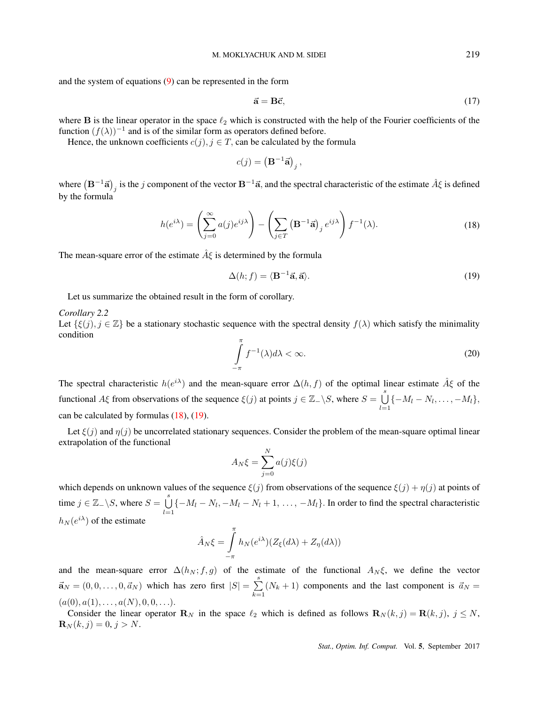and the system of equations (9) can be represented in the form

$$
\vec{\mathbf{a}} = \mathbf{B}\vec{\mathbf{c}},\tag{17}
$$

where **B** is the linear operator in the space *ℓ*<sup>2</sup> which is constructed with the help of the Fourier coefficients of the function  $(f(\lambda))^{-1}$  and is of the similar form as operators defined before.

Hence, the unknown coefficients  $c(j)$ ,  $j \in T$ , can be calculated by the formula

$$
c(j) = \left(\mathbf{B}^{-1}\vec{\mathbf{a}}\right)_j,
$$

where  $(B^{-1}\vec{a})_j$  is the *j* component of the vector  $B^{-1}\vec{a}$ , and the spectral characteristic of the estimate  $\hat{A}\xi$  is defined by the formula

$$
h(e^{i\lambda}) = \left(\sum_{j=0}^{\infty} a(j)e^{ij\lambda}\right) - \left(\sum_{j\in T} \left(\mathbf{B}^{-1}\vec{\mathbf{a}}\right)_j e^{ij\lambda}\right) f^{-1}(\lambda). \tag{18}
$$

The mean-square error of the estimate  $\hat{A}\xi$  is determined by the formula

$$
\Delta(h; f) = \langle \mathbf{B}^{-1}\vec{\mathbf{a}}, \vec{\mathbf{a}} \rangle. \tag{19}
$$

Let us summarize the obtained result in the form of corollary.

*Corollary 2.2* Let  $\{\xi(j), j \in \mathbb{Z}\}\$  be a stationary stochastic sequence with the spectral density  $f(\lambda)$  which satisfy the minimality condition

$$
\int_{-\pi}^{\pi} f^{-1}(\lambda) d\lambda < \infty. \tag{20}
$$

The spectral characteristic  $h(e^{i\lambda})$  and the mean-square error  $\Delta(h, f)$  of the optimal linear estimate  $\hat{A}\xi$  of the functional *Aξ* from observations of the sequence  $\xi(j)$  at points  $j \in \mathbb{Z}$   $\setminus$  *S*, where  $S = \bigcup_{j=1}^{s} S_j$  $\bigcup_{l=1} \{-M_l - N_l, \ldots, -M_l\},\$ can be calculated by formulas (18), (19).

Let  $\xi(j)$  and  $\eta(j)$  be uncorrelated stationary sequences. Consider the problem of the mean-square optimal linear extrapolation of the functional

$$
A_N \xi = \sum_{j=0}^N a(j)\xi(j)
$$

which depends on unknown values of the sequence  $\xi(j)$  from observations of the sequence  $\xi(j) + \eta(j)$  at points of time  $j \in \mathbb{Z}_-\backslash S$ , where  $S = \bigcup_{i=1}^s S_i$  $\bigcup_{l=1} \{-M_l - N_l, -M_l - N_l + 1, \ldots, -M_l\}$ . In order to find the spectral characteristic  $h_N(e^{i\lambda})$  of the estimate

$$
\hat{A}_N \xi = \int_{-\pi}^{\pi} h_N(e^{i\lambda}) (Z_{\xi}(d\lambda) + Z_{\eta}(d\lambda))
$$

and the mean-square error  $\Delta(h_N; f, g)$  of the estimate of the functional  $A_N\xi$ , we define the vector  $\vec{a}_N = (0, 0, \dots, 0, \vec{a}_N)$  which has zero first  $|S| = \sum^s$  $\sum_{k=1}^{n} (N_k + 1)$  components and the last component is  $\vec{a}_N =$  $(a(0), a(1), \ldots, a(N), 0, 0, \ldots).$ 

Consider the linear operator  $\mathbf{R}_N$  in the space  $\ell_2$  which is defined as follows  $\mathbf{R}_N(k,j) = \mathbf{R}(k,j)$ ,  $j \leq N$ ,  $\mathbf{R}_N(k, j) = 0, j > N.$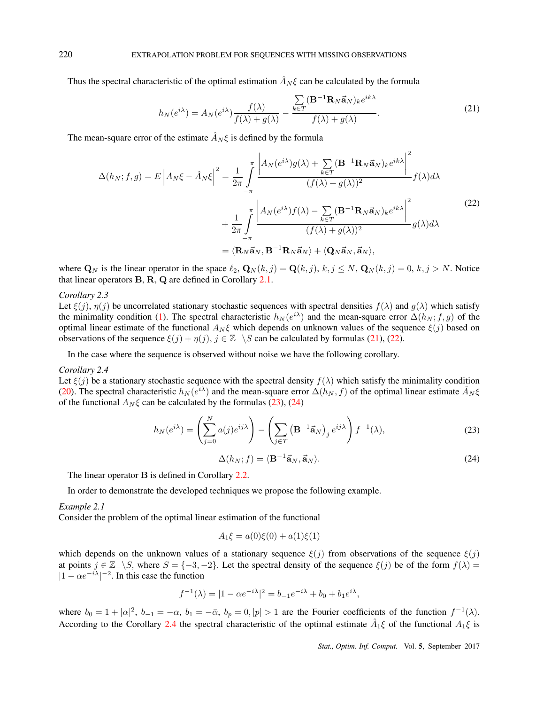Thus the spectral characteristic of the optimal estimation  $\hat{A}_N \xi$  can be calculated by the formula

$$
h_N(e^{i\lambda}) = A_N(e^{i\lambda}) \frac{f(\lambda)}{f(\lambda) + g(\lambda)} - \frac{\sum\limits_{k \in T} (\mathbf{B}^{-1} \mathbf{R}_N \vec{\mathbf{a}}_N)_k e^{ik\lambda}}{f(\lambda) + g(\lambda)}.
$$
 (21)

The mean-square error of the estimate  $\hat{A}_N \xi$  is defined by the formula

$$
\Delta(h_N; f, g) = E \left| A_N \xi - \hat{A}_N \xi \right|^2 = \frac{1}{2\pi} \int_{-\pi}^{\pi} \frac{\left| A_N(e^{i\lambda})g(\lambda) + \sum_{k \in T} (\mathbf{B}^{-1}\mathbf{R}_N \vec{\mathbf{a}}_N)_k e^{ik\lambda} \right|^2}{(f(\lambda) + g(\lambda))^2} f(\lambda) d\lambda \n+ \frac{1}{2\pi} \int_{-\pi}^{\pi} \frac{\left| A_N(e^{i\lambda})f(\lambda) - \sum_{k \in T} (\mathbf{B}^{-1}\mathbf{R}_N \vec{\mathbf{a}}_N)_k e^{ik\lambda} \right|^2}{(f(\lambda) + g(\lambda))^2} g(\lambda) d\lambda \n= \langle \mathbf{R}_N \vec{\mathbf{a}}_N, \mathbf{B}^{-1}\mathbf{R}_N \vec{\mathbf{a}}_N \rangle + \langle \mathbf{Q}_N \vec{\mathbf{a}}_N, \vec{\mathbf{a}}_N \rangle, \tag{22}
$$

where  $\mathbf{Q}_N$  is the linear operator in the space  $\ell_2$ ,  $\mathbf{Q}_N(k,j) = \mathbf{Q}(k,j)$ ,  $k, j \leq N$ ,  $\mathbf{Q}_N(k,j) = 0$ ,  $k, j > N$ . Notice that linear operators **B**, **R**, **Q** are defined in Corollary 2.1.

#### *Corollary 2.3*

Let  $\xi(j)$ ,  $\eta(j)$  be uncorrelated stationary stochastic sequences with spectral densities  $f(\lambda)$  and  $g(\lambda)$  which satisfy the minimality condition (1). The spectral characteristic  $h_N(e^{i\lambda})$  and the mean-square error  $\Delta(h_N; f, g)$  of the optimal linear estimate of the functional  $A_N \xi$  which depends on unknown values of the sequence  $\xi(j)$  based on observations of the sequence *ξ*(*j*) + *η*(*j*)*, j ∈* Z*−\S* can be calculated by formulas (21), (22).

In the case where the sequence is observed without noise we have the following corollary.

## *Corollary 2.4*

Let  $\xi(j)$  be a stationary stochastic sequence with the spectral density  $f(\lambda)$  which satisfy the minimality condition (20). The spectral characteristic  $h_N(e^{i\lambda})$  and the mean-square error  $\Delta(h_N, f)$  of the optimal linear estimate  $\hat{A}_N \xi$ of the functional  $A_N \xi$  can be calculated by the formulas (23), (24)

$$
h_N(e^{i\lambda}) = \left(\sum_{j=0}^N a(j)e^{ij\lambda}\right) - \left(\sum_{j\in T} \left(\mathbf{B}^{-1}\vec{\mathbf{a}}_N\right)_j e^{ij\lambda}\right) f^{-1}(\lambda),\tag{23}
$$

$$
\Delta(h_N; f) = \langle \mathbf{B}^{-1} \vec{\mathbf{a}}_N, \vec{\mathbf{a}}_N \rangle.
$$
 (24)

The linear operator **B** is defined in Corollary 2.2.

In order to demonstrate the developed techniques we propose the following example.

#### *Example 2.1*

Consider the problem of the optimal linear estimation of the functional

$$
A_1 \xi = a(0)\xi(0) + a(1)\xi(1)
$$

which depends on the unknown values of a stationary sequence  $\xi(j)$  from observations of the sequence  $\xi(j)$ at points  $j \in \mathbb{Z} \setminus S$ , where  $S = \{-3, -2\}$ . Let the spectral density of the sequence  $\xi(j)$  be of the form  $f(\lambda) =$  $|1 − \alpha e^{-i\lambda}|^{-2}$ . In this case the function

$$
f^{-1}(\lambda) = |1 - \alpha e^{-i\lambda}|^2 = b_{-1}e^{-i\lambda} + b_0 + b_1 e^{i\lambda},
$$

where  $b_0 = 1 + |\alpha|^2$ ,  $b_{-1} = -\alpha$ ,  $b_1 = -\overline{\alpha}$ ,  $b_p = 0$ ,  $|p| > 1$  are the Fourier coefficients of the function  $f^{-1}(\lambda)$ . According to the Corollary 2.4 the spectral characteristic of the optimal estimate  $\hat{A}_1 \xi$  of the functional  $A_1 \xi$  is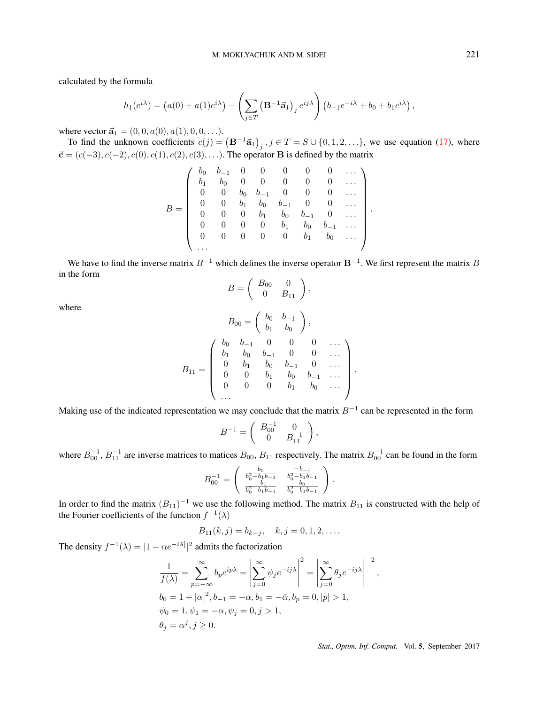calculated by the formula

$$
h_1(e^{i\lambda}) = (a(0) + a(1)e^{i\lambda}) - \left(\sum_{j \in T} (\mathbf{B}^{-1}\vec{\mathbf{a}}_1)_{j} e^{ij\lambda}\right) (b_{-1}e^{-i\lambda} + b_0 + b_1e^{i\lambda}),
$$

where vector  $\vec{a}_1 = (0, 0, a(0), a(1), 0, 0, \ldots).$ 

To find the unknown coefficients  $c(j) = (\mathbf{B}^{-1}\vec{a}_1)$ ,  $j \in T = S \cup \{0, 1, 2, \ldots\}$ , we use equation (17), where *⃗***c** = (*c*(*−*3)*, c*(*−*2)*, c*(0)*, c*(1)*, c*(2)*, c*(3)*, . . .*). The operator **B** is defined by the matrix

$$
B = \left(\begin{array}{cccccccc} b_0 & b_{-1} & 0 & 0 & 0 & 0 & 0 & 0 & \dots \\ b_1 & b_0 & 0 & 0 & 0 & 0 & 0 & 0 & \dots \\ 0 & 0 & b_0 & b_{-1} & 0 & 0 & 0 & 0 & \dots \\ 0 & 0 & b_1 & b_0 & b_{-1} & 0 & 0 & \dots \\ 0 & 0 & 0 & b_1 & b_0 & b_{-1} & 0 & \dots \\ 0 & 0 & 0 & 0 & b_1 & b_0 & b_{-1} & \dots \\ 0 & 0 & 0 & 0 & 0 & b_1 & b_0 & \dots \\ \dots \end{array}\right).
$$

We have to find the inverse matrix *B−*<sup>1</sup> which defines the inverse operator **B***−*<sup>1</sup> . We first represent the matrix *B* in the form

$$
B = \left(\begin{array}{cc} B_{00} & 0\\ 0 & B_{11} \end{array}\right)
$$

*,*

where

$$
B_{00} = \begin{pmatrix} b_0 & b_{-1} \\ b_1 & b_0 \end{pmatrix},
$$
  
\n
$$
B_{11} = \begin{pmatrix} b_0 & b_{-1} & 0 & 0 & 0 & \cdots \\ b_1 & b_0 & b_{-1} & 0 & 0 & \cdots \\ 0 & b_1 & b_0 & b_{-1} & 0 & \cdots \\ 0 & 0 & b_1 & b_0 & b_{-1} & \cdots \\ 0 & 0 & 0 & b_1 & b_0 & \cdots \end{pmatrix}.
$$

Making use of the indicated representation we may conclude that the matrix *B−*<sup>1</sup> can be represented in the form

$$
B^{-1} = \left( \begin{array}{cc} B_{00}^{-1} & 0 \\ 0 & B_{11}^{-1} \end{array} \right),
$$

where  $B_{00}^{-1}$ ,  $B_{11}^{-1}$  are inverse matrices to matices  $B_{00}$ ,  $B_{11}$  respectively. The matrix  $B_{00}^{-1}$  can be found in the form

$$
B_{00}^{-1} = \begin{pmatrix} \frac{b_0}{b_0^2 - b_1 b_{-1}} & \frac{-b_{-1}}{b_0^2 - b_1 b_{-1}} \\ \frac{-b_1}{b_0^2 - b_1 b_{-1}} & \frac{b_0}{b_0^2 - b_1 b_{-1}} \end{pmatrix}.
$$

In order to find the matrix  $(B_{11})^{-1}$  we use the following method. The matrix  $B_{11}$  is constructed with the help of the Fourier coefficients of the function  $f^{-1}(\lambda)$ 

$$
B_{11}(k,j) = b_{k-j}, \quad k, j = 0, 1, 2, \dots
$$

The density  $f^{-1}(\lambda) = |1 - \alpha e^{-i\lambda}|^2$  admits the factorization

$$
\frac{1}{f(\lambda)} = \sum_{p=-\infty}^{\infty} b_p e^{ip\lambda} = \left| \sum_{j=0}^{\infty} \psi_j e^{-ij\lambda} \right|^2 = \left| \sum_{j=0}^{\infty} \theta_j e^{-ij\lambda} \right|^{-2},
$$
  
\n
$$
b_0 = 1 + |\alpha|^2, b_{-1} = -\alpha, b_1 = -\bar{\alpha}, b_p = 0, |p| > 1,
$$
  
\n
$$
\psi_0 = 1, \psi_1 = -\alpha, \psi_j = 0, j > 1,
$$
  
\n
$$
\theta_j = \alpha^j, j \ge 0.
$$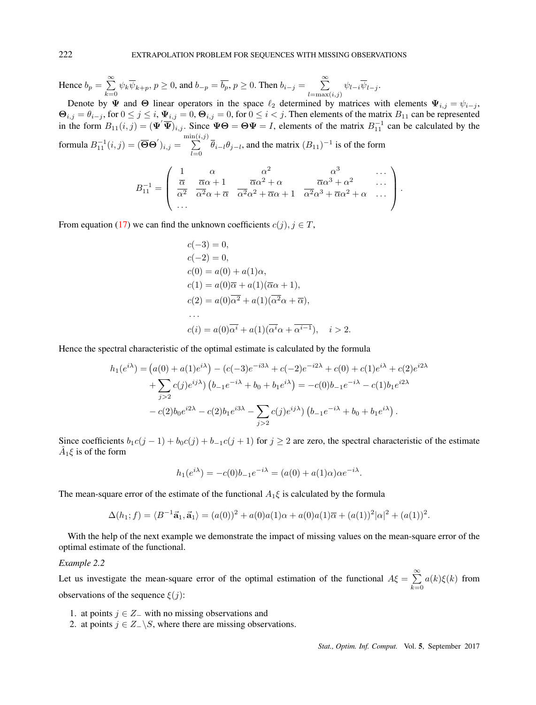Hence  $b_p = \sum_{n=1}^{\infty}$  $\sum_{k=0}^{\infty} \psi_k \overline{\psi}_{k+p}, p \ge 0$ , and  $b_{-p} = \overline{b_p}, p \ge 0$ . Then  $b_{i-j} = \sum_{l=\max}^{\infty}$  $\sum_{l=\max(i,j)} \psi_{l-i} \psi_{l-j}.$ 

Denote by  $\Psi$  and  $\Theta$  linear operators in the space  $\ell_2$  determined by matrices with elements  $\Psi_{i,j} = \psi_{i-j}$ ,  $\Theta_{i,j} = \theta_{i-j}$ , for  $0 \le j \le i$ ,  $\Psi_{i,j} = 0$ ,  $\Theta_{i,j} = 0$ , for  $0 \le i < j$ . Then elements of the matrix  $B_{11}$  can be represented in the form  $B_{11}(i, j) = (\Psi'\overline{\Psi})_{i,j}$ . Since  $\Psi\Theta = \Theta\Psi = I$ , elements of the matrix  $B_{11}^{-1}$  can be calculated by the formula  $B^{-1}_{11}(i,j) = (\overline{\Theta}\Theta')_{i,j} =$ min( ∑ *i,j*)  $\sum_{l=0}$   $\overline{\theta}_{i-l}\theta_{j-l}$ , and the matrix  $(B_{11})^{-1}$  is of the form

$$
B_{11}^{-1} = \begin{pmatrix} 1 & \alpha & \alpha^2 & \alpha^3 & \cdots \\ \frac{\overline{\alpha}}{\alpha^2} & \frac{\overline{\alpha}\alpha + 1}{\alpha^2\alpha + \overline{\alpha}} & \frac{\overline{\alpha}\alpha^2 + \alpha}{\alpha^2\alpha^2 + \overline{\alpha}\alpha + 1} & \frac{\overline{\alpha}\alpha^3 + \alpha^2}{\alpha^2\alpha^3 + \overline{\alpha}\alpha^2 + \alpha} & \cdots \\ \cdots & \cdots & \cdots & \cdots \end{pmatrix}.
$$

From equation (17) we can find the unknown coefficients  $c(j), j \in T$ ,

$$
c(-3) = 0,
$$
  
\n
$$
c(-2) = 0,
$$
  
\n
$$
c(0) = a(0) + a(1)\alpha,
$$
  
\n
$$
c(1) = a(0)\overline{\alpha} + a(1)(\overline{\alpha}\alpha + 1),
$$
  
\n
$$
c(2) = a(0)\overline{\alpha^2} + a(1)(\overline{\alpha^2}\alpha + \overline{\alpha}),
$$
  
\n...  
\n
$$
c(i) = a(0)\overline{\alpha^i} + a(1)(\overline{\alpha^i}\alpha + \overline{\alpha^{i-1}}), \quad i > 2
$$

Hence the spectral characteristic of the optimal estimate is calculated by the formula

$$
h_1(e^{i\lambda}) = (a(0) + a(1)e^{i\lambda}) - (c(-3)e^{-i3\lambda} + c(-2)e^{-i2\lambda} + c(0) + c(1)e^{i\lambda} + c(2)e^{i2\lambda} + \sum_{j>2} c(j)e^{ij\lambda}) (b_{-1}e^{-i\lambda} + b_0 + b_1e^{i\lambda}) = -c(0)b_{-1}e^{-i\lambda} - c(1)b_1e^{i2\lambda} - c(2)b_0e^{i2\lambda} - c(2)b_1e^{i3\lambda} - \sum_{j>2} c(j)e^{ij\lambda}) (b_{-1}e^{-i\lambda} + b_0 + b_1e^{i\lambda}).
$$

Since coefficients  $b_1c(j-1) + b_0c(j) + b_{-1}c(j+1)$  for  $j \ge 2$  are zero, the spectral characteristic of the estimate  $\hat{A}_1 \xi$  is of the form

$$
h_1(e^{i\lambda}) = -c(0)b_{-1}e^{-i\lambda} = (a(0) + a(1)\alpha)\alpha e^{-i\lambda}.
$$

The mean-square error of the estimate of the functional  $A_1 \xi$  is calculated by the formula

$$
\Delta(h_1; f) = \langle B^{-1}\vec{a}_1, \vec{a}_1 \rangle = (a(0))^2 + a(0)a(1)\alpha + a(0)a(1)\overline{\alpha} + (a(1))^2|\alpha|^2 + (a(1))^2.
$$

With the help of the next example we demonstrate the impact of missing values on the mean-square error of the optimal estimate of the functional.

#### *Example 2.2*

Let us investigate the mean-square error of the optimal estimation of the functional  $A\xi = \sum^{\infty}$  $k=0$ *a*(*k*)*ξ*(*k*) from observations of the sequence *ξ*(*j*):

- 1. at points *j ∈ Z<sup>−</sup>* with no missing observations and
- 2. at points  $j \in Z_-\backslash S$ , where there are missing observations.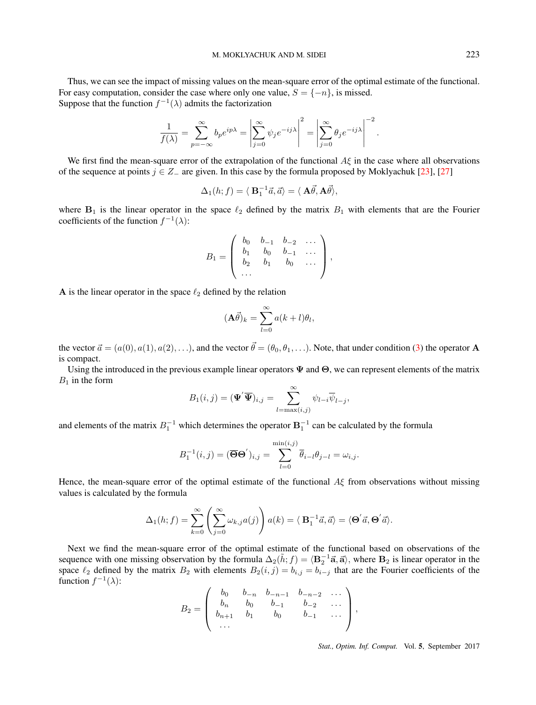Thus, we can see the impact of missing values on the mean-square error of the optimal estimate of the functional. For easy computation, consider the case where only one value,  $S = \{-n\}$ , is missed. Suppose that the function  $f^{-1}(\lambda)$  admits the factorization

$$
\frac{1}{f(\lambda)} = \sum_{p=-\infty}^{\infty} b_p e^{ip\lambda} = \left| \sum_{j=0}^{\infty} \psi_j e^{-ij\lambda} \right|^2 = \left| \sum_{j=0}^{\infty} \theta_j e^{-ij\lambda} \right|^{-2}.
$$

We first find the mean-square error of the extrapolation of the functional *Aξ* in the case where all observations of the sequence at points  $j \in Z_-\text{ are given.}$  In this case by the formula proposed by Moklyachuk [23], [27]

$$
\Delta_1(h; f) = \langle \mathbf{B}_1^{-1}\vec{a}, \vec{a} \rangle = \langle \mathbf{A}\vec{\theta}, \mathbf{A}\vec{\theta} \rangle,
$$

where  $B_1$  is the linear operator in the space  $\ell_2$  defined by the matrix  $B_1$  with elements that are the Fourier coefficients of the function  $f^{-1}(\lambda)$ :

$$
B_1 = \left(\begin{array}{cccc} b_0 & b_{-1} & b_{-2} & \dots \\ b_1 & b_0 & b_{-1} & \dots \\ b_2 & b_1 & b_0 & \dots \\ \dots \end{array}\right),
$$

**A** is the linear operator in the space  $\ell_2$  defined by the relation

$$
(\mathbf{A}\vec{\theta})_k = \sum_{l=0}^{\infty} a(k+l)\theta_l,
$$

the vector  $\vec{a} = (a(0), a(1), a(2), \ldots)$ , and the vector  $\vec{\theta} = (\theta_0, \theta_1, \ldots)$ . Note, that under condition (3) the operator **A** is compact.

Using the introduced in the previous example linear operators **Ψ** and **Θ**, we can represent elements of the matrix  $B_1$  in the form

$$
B_1(i,j) = (\mathbf{\Psi}'\overline{\mathbf{\Psi}})_{i,j} = \sum_{l=\max(i,j)}^{\infty} \psi_{l-i} \overline{\psi}_{l-j},
$$

and elements of the matrix  $B_1^{-1}$  which determines the operator  $B_1^{-1}$  can be calculated by the formula

$$
B_1^{-1}(i,j) = (\overline{\Theta}\Theta')_{i,j} = \sum_{l=0}^{\min(i,j)} \overline{\theta}_{i-l} \theta_{j-l} = \omega_{i,j}.
$$

Hence, the mean-square error of the optimal estimate of the functional *Aξ* from observations without missing values is calculated by the formula

$$
\Delta_1(h; f) = \sum_{k=0}^{\infty} \left( \sum_{j=0}^{\infty} \omega_{k,j} a(j) \right) a(k) = \langle \mathbf{B}_1^{-1} \vec{a}, \vec{a} \rangle = \langle \mathbf{\Theta}' \vec{a}, \mathbf{\Theta}' \vec{a} \rangle.
$$

Next we find the mean-square error of the optimal estimate of the functional based on observations of the sequence with one missing observation by the formula  $\Delta_2(\tilde{h}; f) = \langle \mathbf{B}_2^{-1} \vec{\mathbf{a}}, \vec{\mathbf{a}} \rangle$ , where  $\mathbf{B}_2$  is linear operator in the space  $\ell_2$  defined by the matrix  $B_2$  with elements  $B_2(i, j) = b_{i,j} = b_{i-j}$  that are the Fourier coefficients of the function  $f^{-1}(\lambda)$ :

$$
B_2 = \left(\begin{array}{cccc} b_0 & b_{-n} & b_{-n-1} & b_{-n-2} & \dots \\ b_n & b_0 & b_{-1} & b_{-2} & \dots \\ b_{n+1} & b_1 & b_0 & b_{-1} & \dots \\ \dots \end{array}\right),
$$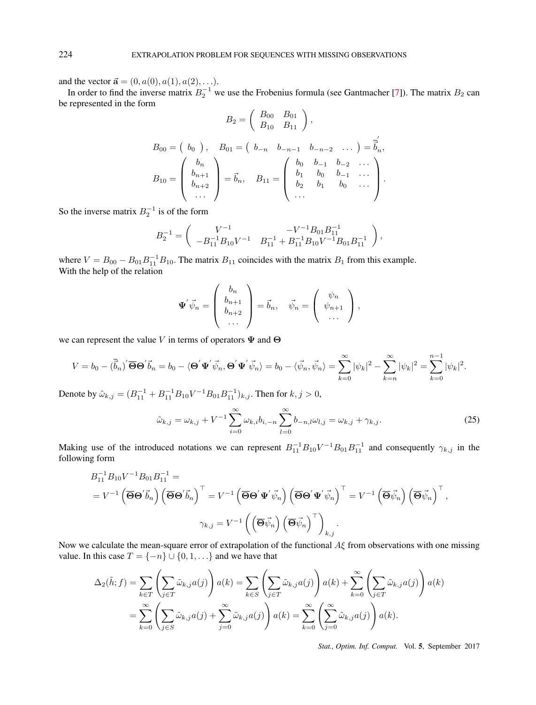and the vector  $\vec{a} = (0, a(0), a(1), a(2), \ldots)$ .

In order to find the inverse matrix  $B_2^{-1}$  we use the Frobenius formula (see Gantmacher [7]). The matrix  $B_2$  can be represented in the form

$$
B_2 = \begin{pmatrix} B_{00} & B_{01} \\ B_{10} & B_{11} \end{pmatrix},
$$
  
\n
$$
B_{00} = \begin{pmatrix} b_0 \\ b_0 \end{pmatrix}, \quad B_{01} = \begin{pmatrix} b_{-n} & b_{-n-1} & b_{-n-2} & \dots \end{pmatrix} = \overline{\vec{b}}_n',
$$
  
\n
$$
B_{10} = \begin{pmatrix} b_n \\ b_{n+1} \\ b_{n+2} \\ \dots \end{pmatrix} = \vec{b}_n, \quad B_{11} = \begin{pmatrix} b_0 & b_{-1} & b_{-2} & \dots \\ b_1 & b_0 & b_{-1} & \dots \\ b_2 & b_1 & b_0 & \dots \\ \dots \end{pmatrix}.
$$

So the inverse matrix  $B_2^{-1}$  is of the form

$$
B_2^{-1} = \begin{pmatrix} V^{-1} & -V^{-1}B_{01}B_{11}^{-1} \ -B_{11}^{-1}B_{10}V^{-1} & B_{11}^{-1} + B_{11}^{-1}B_{10}V^{-1}B_{01}B_{11}^{-1} \end{pmatrix},
$$

where  $V = B_{00} - B_{01}B_{11}^{-1}B_{10}$ . The matrix  $B_{11}$  coincides with the matrix  $B_1$  from this example. With the help of the relation

$$
\mathbf{\Psi}' \vec{\psi}_n = \left( \begin{array}{c} b_n \\ b_{n+1} \\ b_{n+2} \\ \cdots \end{array} \right) = \vec{b}_n, \quad \vec{\psi}_n = \left( \begin{array}{c} \psi_n \\ \psi_{n+1} \\ \cdots \end{array} \right),
$$

we can represent the value *V* in terms of operators **Ψ** and **Θ**

$$
V = b_0 - (\overline{\vec{b}}_n)' \overline{\Theta} \Theta' \vec{b}_n = b_0 - \langle \Theta' \mathbf{\Psi}' \vec{\psi}_n, \Theta' \mathbf{\Psi}' \vec{\psi}_n \rangle = b_0 - \langle \vec{\psi}_n, \vec{\psi}_n \rangle = \sum_{k=0}^{\infty} |\psi_k|^2 - \sum_{k=n}^{\infty} |\psi_k|^2 = \sum_{k=0}^{n-1} |\psi_k|^2.
$$

Denote by  $\tilde{\omega}_{k,j} = (B_{11}^{-1} + B_{11}^{-1}B_{10}V^{-1}B_{01}B_{11}^{-1})_{k,j}$ . Then for  $k, j > 0$ ,

$$
\tilde{\omega}_{k,j} = \omega_{k,j} + V^{-1} \sum_{i=0}^{\infty} \omega_{k,i} b_{i,-n} \sum_{l=0}^{\infty} b_{-n,l} \omega_{l,j} = \omega_{k,j} + \gamma_{k,j}.
$$
\n(25)

Making use of the introduced notations we can represent  $B_{11}^{-1}B_{10}V^{-1}B_{01}B_{11}^{-1}$  and consequently  $\gamma_{k,j}$  in the following form

$$
B_{11}^{-1}B_{10}V^{-1}B_{01}B_{11}^{-1} =
$$
  
=  $V^{-1}(\overline{\Theta}\Theta'\vec{b}_n) (\overline{\Theta}\Theta'\vec{b}_n)^{\top} = V^{-1}(\overline{\Theta}\Theta'\Psi'\vec{\psi}_n) (\overline{\Theta}\Theta'\Psi'\vec{\psi}_n)^{\top} = V^{-1}(\overline{\Theta}\vec{\psi}_n) (\overline{\Theta}\vec{\psi}_n)^{\top},$   

$$
\gamma_{k,j} = V^{-1}((\overline{\Theta}\vec{\psi}_n) (\overline{\Theta}\vec{\psi}_n)^{\top})_{k,j}.
$$

Now we calculate the mean-square error of extrapolation of the functional *Aξ* from observations with one missing value. In this case  $T = \{-n\} \cup \{0, 1, \ldots\}$  and we have that

$$
\Delta_2(\tilde{h};f) = \sum_{k \in T} \left( \sum_{j \in T} \tilde{\omega}_{k,j} a(j) \right) a(k) = \sum_{k \in S} \left( \sum_{j \in T} \tilde{\omega}_{k,j} a(j) \right) a(k) + \sum_{k=0}^{\infty} \left( \sum_{j \in T} \tilde{\omega}_{k,j} a(j) \right) a(k)
$$

$$
= \sum_{k=0}^{\infty} \left( \sum_{j \in S} \tilde{\omega}_{k,j} a(j) + \sum_{j=0}^{\infty} \tilde{\omega}_{k,j} a(j) \right) a(k) = \sum_{k=0}^{\infty} \left( \sum_{j=0}^{\infty} \tilde{\omega}_{k,j} a(j) \right) a(k).
$$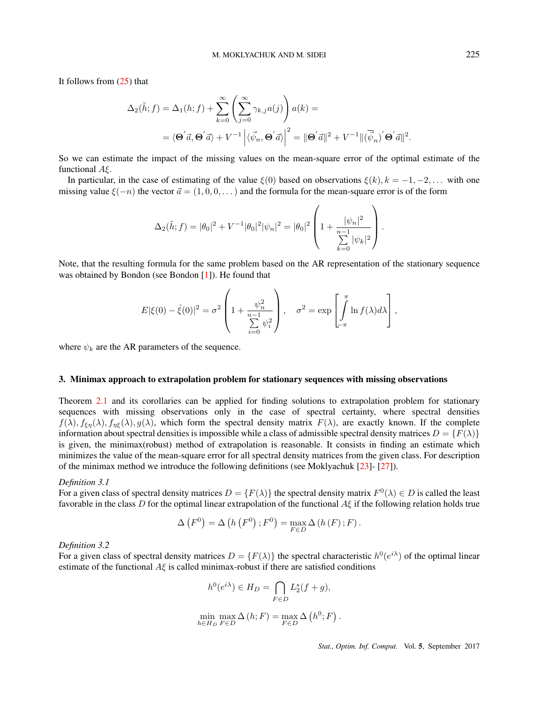It follows from (25) that

$$
\Delta_2(\tilde{h};f) = \Delta_1(h;f) + \sum_{k=0}^{\infty} \left( \sum_{j=0}^{\infty} \gamma_{k,j} a(j) \right) a(k) =
$$
  
=  $\langle \mathbf{\Theta}' \vec{a}, \mathbf{\Theta}' \vec{a} \rangle + V^{-1} \left| \langle \vec{\psi}_n, \mathbf{\Theta}' \vec{a} \rangle \right|^2 = ||\mathbf{\Theta}' \vec{a}||^2 + V^{-1} ||\langle \vec{\psi}_n \rangle' \mathbf{\Theta}' \vec{a}||^2.$ 

So we can estimate the impact of the missing values on the mean-square error of the optimal estimate of the functional *Aξ*.

In particular, in the case of estimating of the value  $\xi(0)$  based on observations  $\xi(k)$ ,  $k = -1, -2, \ldots$  with one missing value  $\xi(-n)$  the vector  $\vec{a} = (1, 0, 0, \dots)$  and the formula for the mean-square error is of the form

$$
\Delta_2(\tilde{h};f) = |\theta_0|^2 + V^{-1}|\theta_0|^2|\psi_n|^2 = |\theta_0|^2 \left(1 + \frac{|\psi_n|^2}{\sum_{k=0}^{n-1} |\psi_k|^2}\right).
$$

Note, that the resulting formula for the same problem based on the AR representation of the stationary sequence was obtained by Bondon (see Bondon [1]). He found that

$$
E|\xi(0) - \hat{\xi}(0)|^2 = \sigma^2 \left(1 + \frac{\psi_n^2}{\sum\limits_{i=0}^{n-1} \psi_i^2}\right), \quad \sigma^2 = \exp\left[\int\limits_{-\pi}^{\pi} \ln f(\lambda) d\lambda\right],
$$

where  $\psi_k$  are the AR parameters of the sequence.

## 3. Minimax approach to extrapolation problem for stationary sequences with missing observations

Theorem 2.1 and its corollaries can be applied for finding solutions to extrapolation problem for stationary sequences with missing observations only in the case of spectral certainty, where spectral densities  $f(\lambda)$ ,  $f_{\epsilon\eta}(\lambda)$ ,  $f_{\eta\xi}(\lambda)$ ,  $g(\lambda)$ , which form the spectral density matrix  $F(\lambda)$ , are exactly known. If the complete information about spectral densities is impossible while a class of admissible spectral density matrices  $D = \{F(\lambda)\}$ is given, the minimax(robust) method of extrapolation is reasonable. It consists in finding an estimate which minimizes the value of the mean-square error for all spectral density matrices from the given class. For description of the minimax method we introduce the following definitions (see Moklyachuk [23]- [27]).

## *Definition 3.1*

For a given class of spectral density matrices  $D = \{F(\lambda)\}\$ the spectral density matrix  $F^0(\lambda) \in D$  is called the least favorable in the class *D* for the optimal linear extrapolation of the functional *Aξ* if the following relation holds true

$$
\Delta\left(F^{0}\right) = \Delta\left(h\left(F^{0}\right); F^{0}\right) = \max_{F \in D} \Delta\left(h\left(F\right); F\right).
$$

## *Definition 3.2*

For a given class of spectral density matrices  $D = \{F(\lambda)\}\$ the spectral characteristic  $h^0(e^{i\lambda})$  of the optimal linear estimate of the functional *Aξ* is called minimax-robust if there are satisfied conditions

$$
h^{0}(e^{i\lambda}) \in H_{D} = \bigcap_{F \in D} L_{2}^{s}(f+g),
$$
  

$$
\min_{h \in H_{D}} \max_{F \in D} \Delta(h; F) = \max_{F \in D} \Delta(h^{0}; F).
$$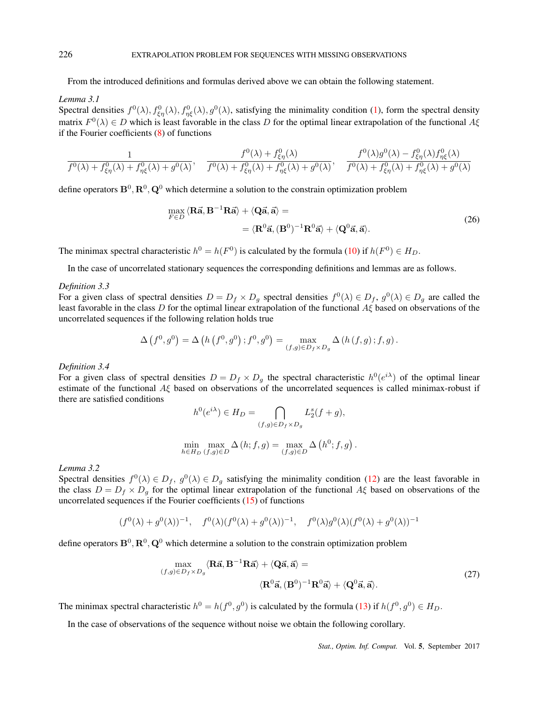From the introduced definitions and formulas derived above we can obtain the following statement.

## *Lemma 3.1*

Spectral densities  $f^0(\lambda)$ ,  $f^0_{\xi\eta}(\lambda)$ ,  $f^0_{\eta\xi}(\lambda)$ , going the minimality condition (1), form the spectral density matrix *F* 0 (*λ*) *∈ D* which is least favorable in the class *D* for the optimal linear extrapolation of the functional *Aξ* if the Fourier coefficients (8) of functions

$$
\frac{1}{f^0(\lambda) + f^0_{\xi\eta}(\lambda) + f^0_{\eta\xi}(\lambda) + g^0(\lambda)}, \quad \frac{f^0(\lambda) + f^0_{\xi\eta}(\lambda)}{f^0(\lambda) + f^0_{\xi\eta}(\lambda) + f^0_{\eta\xi}(\lambda) + g^0(\lambda)}, \quad \frac{f^0(\lambda)g^0(\lambda) - f^0_{\xi\eta}(\lambda)f^0_{\eta\xi}(\lambda)}{f^0(\lambda) + f^0_{\xi\eta}(\lambda) + f^0_{\eta\xi}(\lambda) + g^0(\lambda)}
$$

define operators  $\mathbf{B}^0$ ,  $\mathbf{R}^0$ ,  $\mathbf{Q}^0$  which determine a solution to the constrain optimization problem

$$
\max_{F \in D} \langle \mathbf{R}\vec{\mathbf{a}}, \mathbf{B}^{-1}\mathbf{R}\vec{\mathbf{a}} \rangle + \langle \mathbf{Q}\vec{\mathbf{a}}, \vec{\mathbf{a}} \rangle = \n= \langle \mathbf{R}^0 \vec{\mathbf{a}}, (\mathbf{B}^0)^{-1}\mathbf{R}^0 \vec{\mathbf{a}} \rangle + \langle \mathbf{Q}^0 \vec{\mathbf{a}}, \vec{\mathbf{a}} \rangle.
$$
\n(26)

The minimax spectral characteristic  $h^0 = h(F^0)$  is calculated by the formula (10) if  $h(F^0) \in H_D$ .

In the case of uncorrelated stationary sequences the corresponding definitions and lemmas are as follows.

#### *Definition 3.3*

For a given class of spectral densities  $D = D_f \times D_g$  spectral densities  $f^0(\lambda) \in D_f$ ,  $g^0(\lambda) \in D_g$  are called the least favorable in the class *D* for the optimal linear extrapolation of the functional *Aξ* based on observations of the uncorrelated sequences if the following relation holds true

$$
\Delta(f^{0},g^{0}) = \Delta(h(f^{0},g^{0});f^{0},g^{0}) = \max_{(f,g)\in D_{f}\times D_{g}} \Delta(h(f,g);f,g).
$$

*Definition 3.4*

For a given class of spectral densities  $D = D_f \times D_g$  the spectral characteristic  $h^0(e^{i\lambda})$  of the optimal linear estimate of the functional *Aξ* based on observations of the uncorrelated sequences is called minimax-robust if there are satisfied conditions

$$
h^{0}(e^{i\lambda}) \in H_{D} = \bigcap_{(f,g)\in D_{f}\times D_{g}} L_{2}^{s}(f+g),
$$
  
min
$$
\max_{h\in H_{D}} \Delta(h; f, g) = \max_{(f,g)\in D} \Delta(h^{0}; f, g)
$$

#### *Lemma 3.2*

Spectral densities  $f^0(\lambda) \in D_f$ ,  $g^0(\lambda) \in D_g$  satisfying the minimality condition (12) are the least favorable in the class  $D = D_f \times D_g$  for the optimal linear extrapolation of the functional  $A\xi$  based on observations of the uncorrelated sequences if the Fourier coefficients (15) of functions

$$
(f^{0}(\lambda) + g^{0}(\lambda))^{-1}
$$
,  $f^{0}(\lambda)(f^{0}(\lambda) + g^{0}(\lambda))^{-1}$ ,  $f^{0}(\lambda)g^{0}(\lambda)(f^{0}(\lambda) + g^{0}(\lambda))^{-1}$ 

define operators  $\mathbf{B}^0$ ,  $\mathbf{R}^0$ ,  $\mathbf{Q}^0$  which determine a solution to the constrain optimization problem

$$
\max_{(f,g)\in D_f\times D_g} \langle \mathbf{R}\vec{\mathbf{a}}, \mathbf{B}^{-1}\mathbf{R}\vec{\mathbf{a}} \rangle + \langle \mathbf{Q}\vec{\mathbf{a}}, \vec{\mathbf{a}} \rangle =
$$
\n
$$
\langle \mathbf{R}^0 \vec{\mathbf{a}}, (\mathbf{B}^0)^{-1}\mathbf{R}^0 \vec{\mathbf{a}} \rangle + \langle \mathbf{Q}^0 \vec{\mathbf{a}}, \vec{\mathbf{a}} \rangle.
$$
\n(27)

*.*

The minimax spectral characteristic  $h^0 = h(f^0, g^0)$  is calculated by the formula (13) if  $h(f^0, g^0) \in H_D$ .

In the case of observations of the sequence without noise we obtain the following corollary.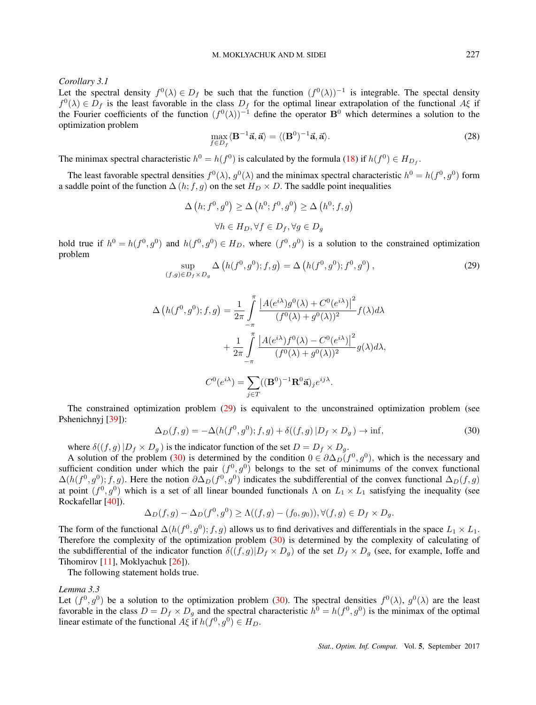*Corollary 3.1*

Let the spectral density  $f^0(\lambda) \in D_f$  be such that the function  $(f^0(\lambda))^{-1}$  is integrable. The spectal density  $f^0(\lambda) \in D_f$  is the least favorable in the class  $D_f$  for the optimal linear extrapolation of the functional  $A\xi$  if the Fourier coefficients of the function  $(f^0(\lambda))^{-1}$  define the operator  $B^0$  which determines a solution to the optimization problem

$$
\max_{f \in D_f} \langle \mathbf{B}^{-1} \vec{\mathbf{a}}, \vec{\mathbf{a}} \rangle = \langle (\mathbf{B}^0)^{-1} \vec{\mathbf{a}}, \vec{\mathbf{a}} \rangle. \tag{28}
$$

The minimax spectral characteristic  $h^0 = h(f^0)$  is calculated by the formula (18) if  $h(f^0) \in H_{D_f}$ .

The least favorable spectral densities  $f^0(\lambda)$ ,  $g^0(\lambda)$  and the minimax spectral characteristic  $h^0 = h(f^0, g^0)$  form a saddle point of the function  $\Delta(h; f, g)$  on the set  $H_D \times D$ . The saddle point inequalities

$$
\Delta(h; f^0, g^0) \ge \Delta(h^0; f^0, g^0) \ge \Delta(h^0; f, g)
$$
  

$$
\forall h \in H_D, \forall f \in D_f, \forall g \in D_g
$$

hold true if  $h^0 = h(f^0, g^0)$  and  $h(f^0, g^0) \in H_D$ , where  $(f^0, g^0)$  is a solution to the constrained optimization problem

$$
\sup_{(f,g)\in D_f\times D_g} \Delta\left(h(f^0,g^0);f,g\right) = \Delta\left(h(f^0,g^0);f^0,g^0\right),\tag{29}
$$

$$
\Delta \left( h(f^0, g^0); f, g \right) = \frac{1}{2\pi} \int_{-\pi}^{\pi} \frac{\left| A(e^{i\lambda})g^0(\lambda) + C^0(e^{i\lambda}) \right|^2}{(f^0(\lambda) + g^0(\lambda))^2} f(\lambda) d\lambda
$$

$$
+ \frac{1}{2\pi} \int_{-\pi}^{\pi} \frac{\left| A(e^{i\lambda})f^0(\lambda) - C^0(e^{i\lambda}) \right|^2}{(f^0(\lambda) + g^0(\lambda))^2} g(\lambda) d\lambda,
$$

$$
C^0(e^{i\lambda}) = \sum_{j \in T} ((\mathbf{B}^0)^{-1} \mathbf{R}^0 \vec{\mathbf{a}})_j e^{ij\lambda}.
$$

The constrained optimization problem (29) is equivalent to the unconstrained optimization problem (see Pshenichnyj [39]):

$$
\Delta_D(f,g) = -\Delta(h(f^0,g^0);f,g) + \delta((f,g)|D_f \times D_g) \to \inf,
$$
\n(30)

where  $\delta((f,g)|D_f \times D_g)$  is the indicator function of the set  $D = D_f \times D_g$ .

A solution of the problem (30) is determined by the condition  $0 \in \partial \Delta_D(f^0, g^0)$ , which is the necessary and sufficient condition under which the pair  $(f^0, g^0)$  belongs to the set of minimums of the convex functional  $\Delta(h(f^0, g^0); f, g)$ . Here the notion  $\partial \Delta_D(f^0, g^0)$  indicates the subdifferential of the convex functional  $\Delta_D(f, g)$ at point  $(f^0, g^0)$  which is a set of all linear bounded functionals  $\Lambda$  on  $L_1 \times L_1$  satisfying the inequality (see Rockafellar [40]).

$$
\Delta_D(f,g) - \Delta_D(f^0,g^0) \ge \Lambda((f,g) - (f_0,g_0)), \forall (f,g) \in D_f \times D_g.
$$

The form of the functional  $\Delta(h(f^0, g^0); f, g)$  allows us to find derivatives and differentials in the space  $L_1 \times L_1$ . Therefore the complexity of the optimization problem (30) is determined by the complexity of calculating of the subdifferential of the indicator function  $\delta((f, g)|D_f \times D_g)$  of the set  $D_f \times D_g$  (see, for example, Ioffe and Tihomirov [11], Moklyachuk [26]).

The following statement holds true.

*Lemma 3.3*

Let  $(f^0, g^0)$  be a solution to the optimization problem (30). The spectral densities  $f^0(\lambda)$ ,  $g^0(\lambda)$  are the least favorable in the class  $D = D_f \times D_g$  and the spectral characteristic  $h^0 = h(f^0, g^0)$  is the minimax of the optimal linear estimate of the functional  $A\xi$  if  $h(f^0, g^0) \in H_D$ .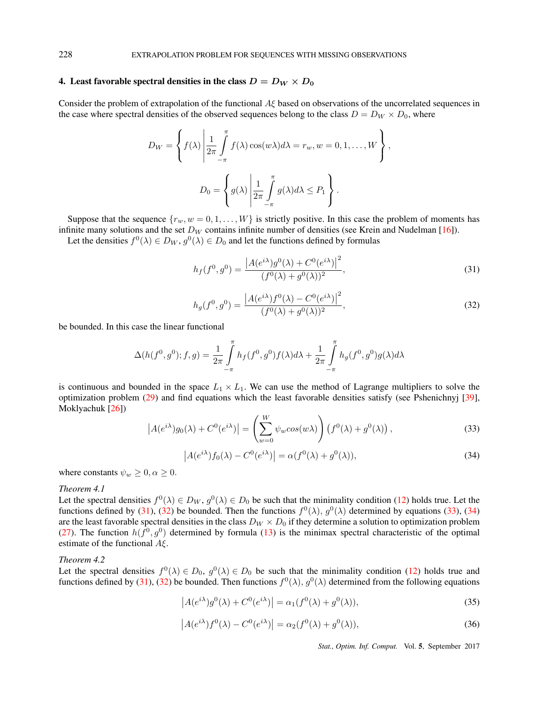## 4. Least favorable spectral densities in the class  $D = D_W \times D_0$

Consider the problem of extrapolation of the functional *Aξ* based on observations of the uncorrelated sequences in the case where spectral densities of the observed sequences belong to the class  $D = D_W \times D_0$ , where

$$
D_W = \left\{ f(\lambda) \middle| \frac{1}{2\pi} \int_{-\pi}^{\pi} f(\lambda) \cos(w\lambda) d\lambda = r_w, w = 0, 1, ..., W \right\},
$$
  

$$
D_0 = \left\{ g(\lambda) \middle| \frac{1}{2\pi} \int_{-\pi}^{\pi} g(\lambda) d\lambda \le P_1 \right\}.
$$

Suppose that the sequence  $\{r_w, w = 0, 1, \ldots, W\}$  is strictly positive. In this case the problem of moments has infinite many solutions and the set  $D_W$  contains infinite number of densities (see Krein and Nudelman [16]).

Let the densities  $f^0(\lambda) \in D_W$ ,  $g^0(\lambda) \in D_0$  and let the functions defined by formulas

$$
h_f(f^0, g^0) = \frac{|A(e^{i\lambda})g^0(\lambda) + C^0(e^{i\lambda})|^2}{(f^0(\lambda) + g^0(\lambda))^2},
$$
\n(31)

$$
h_g(f^0, g^0) = \frac{|A(e^{i\lambda})f^0(\lambda) - C^0(e^{i\lambda})|^2}{(f^0(\lambda) + g^0(\lambda))^2},
$$
\n(32)

be bounded. In this case the linear functional

$$
\Delta(h(f^{0}, g^{0}); f, g) = \frac{1}{2\pi} \int_{-\pi}^{\pi} h_{f}(f^{0}, g^{0}) f(\lambda) d\lambda + \frac{1}{2\pi} \int_{-\pi}^{\pi} h_{g}(f^{0}, g^{0}) g(\lambda) d\lambda
$$

is continuous and bounded in the space  $L_1 \times L_1$ . We can use the method of Lagrange multipliers to solve the optimization problem (29) and find equations which the least favorable densities satisfy (see Pshenichnyj [39], Moklyachuk [26])

$$
\left| A(e^{i\lambda}) g_0(\lambda) + C^0(e^{i\lambda}) \right| = \left( \sum_{w=0}^W \psi_w \cos(w\lambda) \right) \left( f^0(\lambda) + g^0(\lambda) \right),\tag{33}
$$

$$
\left| A(e^{i\lambda}) f_0(\lambda) - C^0(e^{i\lambda}) \right| = \alpha(f^0(\lambda) + g^0(\lambda)),\tag{34}
$$

where constants  $\psi_w \geq 0, \alpha \geq 0$ .

#### *Theorem 4.1*

Let the spectral densities  $f^0(\lambda) \in D_W$ ,  $g^0(\lambda) \in D_0$  be such that the minimality condition (12) holds true. Let the functions defined by (31), (32) be bounded. Then the functions  $f^0(\lambda)$ ,  $g^0(\lambda)$  determined by equations (33), (34) are the least favorable spectral densities in the class  $D_W \times D_0$  if they determine a solution to optimization problem (27). The function  $h(f^0, g^0)$  determined by formula (13) is the minimax spectral characteristic of the optimal estimate of the functional *Aξ*.

## *Theorem 4.2*

Let the spectral densities  $f^0(\lambda) \in D_0$ ,  $g^0(\lambda) \in D_0$  be such that the minimality condition (12) holds true and functions defined by (31), (32) be bounded. Then functions  $f^0(\lambda)$ ,  $g^0(\lambda)$  determined from the following equations

$$
\left| A(e^{i\lambda})g^{0}(\lambda) + C^{0}(e^{i\lambda}) \right| = \alpha_1(f^{0}(\lambda) + g^{0}(\lambda)),\tag{35}
$$

$$
\left| A(e^{i\lambda}) f^{0}(\lambda) - C^{0}(e^{i\lambda}) \right| = \alpha_{2}(f^{0}(\lambda) + g^{0}(\lambda)), \tag{36}
$$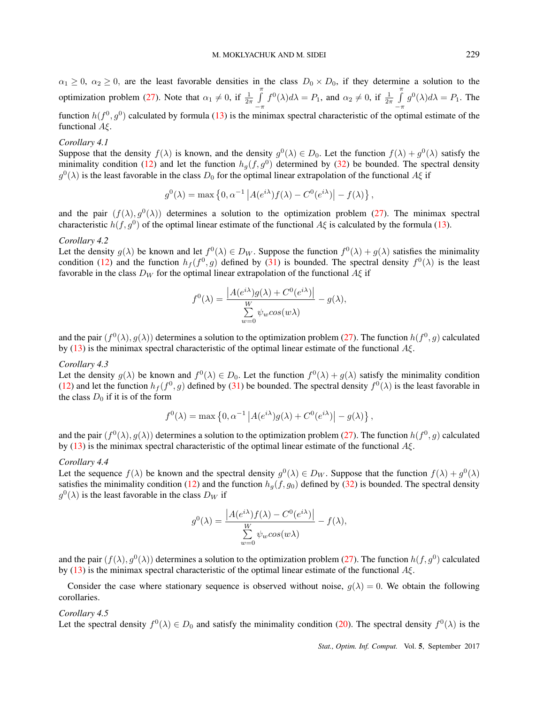$\alpha_1 \geq 0$ ,  $\alpha_2 \geq 0$ , are the least favorable densities in the class  $D_0 \times D_0$ , if they determine a solution to the optimization problem (27). Note that  $\alpha_1 \neq 0$ , if  $\frac{1}{2\pi} \int_{0}^{\pi}$ *−π*  $f^{0}(\lambda)d\lambda = P_1$ , and  $\alpha_2 \neq 0$ , if  $\frac{1}{2\pi} \int_{0}^{\pi}$ *−π*  $g^0(\lambda)d\lambda = P_1$ . The function  $h(f^0, g^0)$  calculated by formula (13) is the minimax spectral characteristic of the optimal estimate of the functional *Aξ*.

#### *Corollary 4.1*

Suppose that the density  $f(\lambda)$  is known, and the density  $g^0(\lambda) \in D_0$ . Let the function  $f(\lambda) + g^0(\lambda)$  satisfy the minimality condition (12) and let the function  $h_g(f, g^0)$  determined by (32) be bounded. The spectral density  $g^0(\lambda)$  is the least favorable in the class  $D_0$  for the optimal linear extrapolation of the functional *Aξ* if

$$
g^{0}(\lambda) = \max \left\{ 0, \alpha^{-1} \left| A(e^{i\lambda}) f(\lambda) - C^{0}(e^{i\lambda}) \right| - f(\lambda) \right\},\
$$

and the pair  $(f(\lambda), g^0(\lambda))$  determines a solution to the optimization problem (27). The minimax spectral characteristic  $h(f, g^0)$  of the optimal linear estimate of the functional  $A\xi$  is calculated by the formula (13).

## *Corollary 4.2*

Let the density  $g(\lambda)$  be known and let  $f^0(\lambda) \in D_W$ . Suppose the function  $f^0(\lambda) + g(\lambda)$  satisfies the minimality condition (12) and the function  $h_f(f^0, g)$  defined by (31) is bounded. The spectral density  $f^0(\lambda)$  is the least favorable in the class *D<sup>W</sup>* for the optimal linear extrapolation of the functional *Aξ* if

$$
f^{0}(\lambda) = \frac{|A(e^{i\lambda})g(\lambda) + C^{0}(e^{i\lambda})|}{\sum_{w=0}^{W} \psi_{w} \cos(w\lambda)} - g(\lambda),
$$

and the pair  $(f^0(\lambda), g(\lambda))$  determines a solution to the optimization problem (27). The function  $h(f^0, g)$  calculated by (13) is the minimax spectral characteristic of the optimal linear estimate of the functional *Aξ*.

#### *Corollary 4.3*

Let the density  $g(\lambda)$  be known and  $f^0(\lambda) \in D_0$ . Let the function  $f^0(\lambda) + g(\lambda)$  satisfy the minimality condition (12) and let the function  $h_f(f^0, g)$  defined by (31) be bounded. The spectral density  $f^0(\lambda)$  is the least favorable in the class  $D_0$  if it is of the form

$$
f^{0}(\lambda) = \max \left\{ 0, \alpha^{-1} \left| A(e^{i\lambda}) g(\lambda) + C^{0}(e^{i\lambda}) \right| - g(\lambda) \right\},\
$$

and the pair  $(f^0(\lambda), g(\lambda))$  determines a solution to the optimization problem (27). The function  $h(f^0, g)$  calculated by (13) is the minimax spectral characteristic of the optimal linear estimate of the functional *Aξ*.

#### *Corollary 4.4*

Let the sequence  $f(\lambda)$  be known and the spectral density  $g^0(\lambda) \in D_W$ . Suppose that the function  $f(\lambda) + g^0(\lambda)$ satisfies the minimality condition (12) and the function  $h_g(f, g_0)$  defined by (32) is bounded. The spectral density  $g^0(\lambda)$  is the least favorable in the class  $D_W$  if

$$
g^{0}(\lambda) = \frac{|A(e^{i\lambda})f(\lambda) - C^{0}(e^{i\lambda})|}{\sum_{w=0}^{W} \psi_{w} \cos(w\lambda)} - f(\lambda),
$$

and the pair  $(f(\lambda), g^0(\lambda))$  determines a solution to the optimization problem (27). The function  $h(f, g^0)$  calculated by (13) is the minimax spectral characteristic of the optimal linear estimate of the functional *Aξ*.

Consider the case where stationary sequence is observed without noise,  $g(\lambda) = 0$ . We obtain the following corollaries.

#### *Corollary 4.5*

Let the spectral density  $f^0(\lambda) \in D_0$  and satisfy the minimality condition (20). The spectral density  $f^0(\lambda)$  is the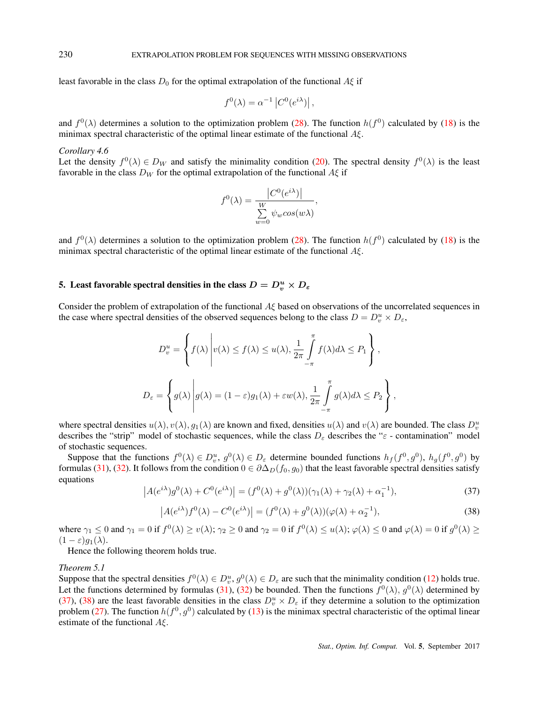least favorable in the class  $D_0$  for the optimal extrapolation of the functional  $A\xi$  if

$$
f^{0}(\lambda) = \alpha^{-1} |C^{0}(e^{i\lambda})|,
$$

and  $f^0(\lambda)$  determines a solution to the optimization problem (28). The function  $h(f^0)$  calculated by (18) is the minimax spectral characteristic of the optimal linear estimate of the functional *Aξ*.

#### *Corollary 4.6*

Let the density  $f^0(\lambda) \in D_W$  and satisfy the minimality condition (20). The spectral density  $f^0(\lambda)$  is the least favorable in the class  $D_W$  for the optimal extrapolation of the functional  $A\xi$  if

$$
f^{0}(\lambda) = \frac{|C^{0}(e^{i\lambda})|}{\sum_{w=0}^{W} \psi_{w} \cos(w\lambda)},
$$

and  $f^0(\lambda)$  determines a solution to the optimization problem (28). The function  $h(f^0)$  calculated by (18) is the minimax spectral characteristic of the optimal linear estimate of the functional *Aξ*.

## 5. Least favorable spectral densities in the class  $D = D_v^u \times D_{\varepsilon}$

Consider the problem of extrapolation of the functional *Aξ* based on observations of the uncorrelated sequences in the case where spectral densities of the observed sequences belong to the class  $D = D_v^u \times D_{\varepsilon}$ ,

$$
D_v^u = \left\{ f(\lambda) \middle| v(\lambda) \le f(\lambda) \le u(\lambda), \frac{1}{2\pi} \int_{-\pi}^{\pi} f(\lambda) d\lambda \le P_1 \right\},
$$
  

$$
D_{\varepsilon} = \left\{ g(\lambda) \middle| g(\lambda) = (1 - \varepsilon) g_1(\lambda) + \varepsilon w(\lambda), \frac{1}{2\pi} \int_{-\pi}^{\pi} g(\lambda) d\lambda \le P_2 \right\},
$$

where spectral densities  $u(\lambda)$ ,  $v(\lambda)$ ,  $g_1(\lambda)$  are known and fixed, densities  $u(\lambda)$  and  $v(\lambda)$  are bounded. The class  $D_v^u$ describes the "strip" model of stochastic sequences, while the class *D<sup>ε</sup>* describes the "*ε* - contamination" model of stochastic sequences.

Suppose that the functions  $f^0(\lambda) \in D_v^u$ ,  $g^0(\lambda) \in D_{\varepsilon}$  determine bounded functions  $h_f(f^0, g^0)$ ,  $h_g(f^0, g^0)$  by formulas (31), (32). It follows from the condition  $0 \in \partial \Delta_D(f_0, g_0)$  that the least favorable spectral densities satisfy equations

$$
\left| A(e^{i\lambda})g^{0}(\lambda) + C^{0}(e^{i\lambda}) \right| = (f^{0}(\lambda) + g^{0}(\lambda))(\gamma_{1}(\lambda) + \gamma_{2}(\lambda) + \alpha_{1}^{-1}), \tag{37}
$$

$$
\left| A(e^{i\lambda}) f^0(\lambda) - C^0(e^{i\lambda}) \right| = (f^0(\lambda) + g^0(\lambda))(\varphi(\lambda) + \alpha_2^{-1}),\tag{38}
$$

where  $\gamma_1 \leq 0$  and  $\gamma_1 = 0$  if  $f^0(\lambda) \geq v(\lambda)$ ;  $\gamma_2 \geq 0$  and  $\gamma_2 = 0$  if  $f^0(\lambda) \leq u(\lambda)$ ;  $\varphi(\lambda) \leq 0$  and  $\varphi(\lambda) = 0$  if  $g^0(\lambda) \geq$  $(1 - \varepsilon)g_1(\lambda)$ .

Hence the following theorem holds true.

#### *Theorem 5.1*

Suppose that the spectral densities  $f^0(\lambda) \in D_v^u$ ,  $g^0(\lambda) \in D_\varepsilon$  are such that the minimality condition (12) holds true. Let the functions determined by formulas (31), (32) be bounded. Then the functions  $f^0(\lambda)$ ,  $g^0(\lambda)$  determined by (37), (38) are the least favorable densities in the class  $D_v^u \times D_\varepsilon$  if they determine a solution to the optimization problem (27). The function  $h(f^0, g^0)$  calculated by (13) is the minimax spectral characteristic of the optimal linear estimate of the functional *Aξ*.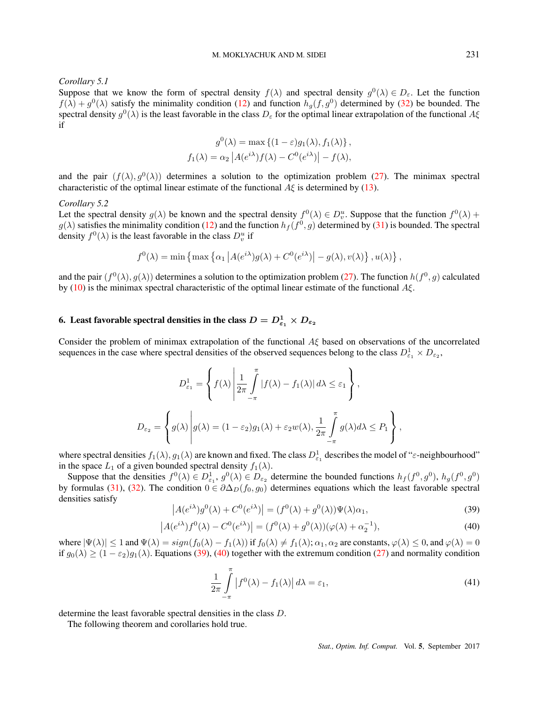*Corollary 5.1*

Suppose that we know the form of spectral density  $f(\lambda)$  and spectral density  $g^0(\lambda) \in D_\varepsilon$ . Let the function  $f(\lambda) + g^0(\lambda)$  satisfy the minimality condition (12) and function  $h_g(f, g^0)$  determined by (32) be bounded. The spectral density *g* 0 (*λ*) is the least favorable in the class *D<sup>ε</sup>* for the optimal linear extrapolation of the functional *Aξ* if

$$
g^{0}(\lambda) = \max \left\{ (1 - \varepsilon) g_{1}(\lambda), f_{1}(\lambda) \right\},
$$
  

$$
f_{1}(\lambda) = \alpha_{2} |A(e^{i\lambda}) f(\lambda) - C^{0}(e^{i\lambda})| - f(\lambda),
$$

and the pair  $(f(\lambda), g^0(\lambda))$  determines a solution to the optimization problem (27). The minimax spectral characteristic of the optimal linear estimate of the functional  $A\xi$  is determined by (13).

#### *Corollary 5.2*

Let the spectral density  $g(\lambda)$  be known and the spectral density  $f^0(\lambda) \in D_v^u$ . Suppose that the function  $f^0(\lambda)$  +  $g(\lambda)$  satisfies the minimality condition (12) and the function  $h_f(f^0, g)$  determined by (31) is bounded. The spectral density  $f^0(\lambda)$  is the least favorable in the class  $D_v^u$  if

$$
f^{0}(\lambda) = \min \left\{ \max \left\{ \alpha_{1} \left| A(e^{i\lambda})g(\lambda) + C^{0}(e^{i\lambda}) \right| - g(\lambda), v(\lambda) \right\}, u(\lambda) \right\},\
$$

and the pair  $(f^0(\lambda), g(\lambda))$  determines a solution to the optimization problem (27). The function  $h(f^0, g)$  calculated by (10) is the minimax spectral characteristic of the optimal linear estimate of the functional *Aξ*.

## 6. Least favorable spectral densities in the class  $D = D_{\varepsilon_1}^1 \times D_{\varepsilon_2}$

Consider the problem of minimax extrapolation of the functional *Aξ* based on observations of the uncorrelated sequences in the case where spectral densities of the observed sequences belong to the class  $D_{\varepsilon_1}^1 \times D_{\varepsilon_2}$ ,

$$
D_{\varepsilon_1}^1 = \left\{ f(\lambda) \left| \frac{1}{2\pi} \int\limits_{-\pi}^{\pi} |f(\lambda) - f_1(\lambda)| d\lambda \le \varepsilon_1 \right. \right\},
$$
  

$$
D_{\varepsilon_2} = \left\{ g(\lambda) \left| g(\lambda) = (1 - \varepsilon_2) g_1(\lambda) + \varepsilon_2 w(\lambda), \frac{1}{2\pi} \int\limits_{-\pi}^{\pi} g(\lambda) d\lambda \le P_1 \right. \right\},
$$

where spectral densities  $f_1(\lambda)$ ,  $g_1(\lambda)$  are known and fixed. The class  $D_{\varepsilon_1}^1$  describes the model of " $\varepsilon$ -neighbourhood" in the space  $L_1$  of a given bounded spectral density  $f_1(\lambda)$ .

Suppose that the densities  $f^0(\lambda) \in D^1_{\epsilon_1}$ ,  $g^0(\lambda) \in D_{\epsilon_2}$  determine the bounded functions  $h_f(f^0, g^0)$ ,  $h_g(f^0, g^0)$ by formulas (31), (32). The condition  $0 \in \partial \Delta_D(f_0, g_0)$  determines equations which the least favorable spectral densities satisfy

$$
\left| A(e^{i\lambda})g^{0}(\lambda) + C^{0}(e^{i\lambda}) \right| = (f^{0}(\lambda) + g^{0}(\lambda))\Psi(\lambda)\alpha_{1},
$$
\n(39)

$$
\left| A(e^{i\lambda}) f^0(\lambda) - C^0(e^{i\lambda}) \right| = (f^0(\lambda) + g^0(\lambda))(\varphi(\lambda) + \alpha_2^{-1}),\tag{40}
$$

where  $|\Psi(\lambda)| \le 1$  and  $\Psi(\lambda) = sign(f_0(\lambda) - f_1(\lambda))$  if  $f_0(\lambda) \ne f_1(\lambda); \alpha_1, \alpha_2$  are constants,  $\varphi(\lambda) \le 0$ , and  $\varphi(\lambda) = 0$ if  $g_0(\lambda) \ge (1 - \varepsilon_2)g_1(\lambda)$ . Equations (39), (40) together with the extremum condition (27) and normality condition

$$
\frac{1}{2\pi} \int_{-\pi}^{\pi} \left| f^{0}(\lambda) - f_{1}(\lambda) \right| d\lambda = \varepsilon_{1},\tag{41}
$$

determine the least favorable spectral densities in the class *D*.

The following theorem and corollaries hold true.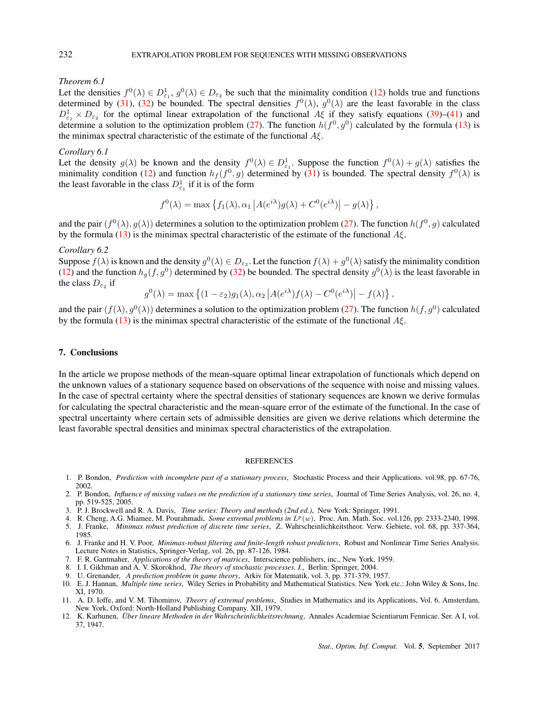#### *Theorem 6.1*

Let the densities  $f^0(\lambda) \in D^1_{\epsilon_1}$ ,  $g^0(\lambda) \in D_{\epsilon_2}$  be such that the minimality condition (12) holds true and functions determined by (31), (32) be bounded. The spectral densities  $f^0(\lambda)$ ,  $g^0(\lambda)$  are the least favorable in the class  $D_{\varepsilon_1}^1 \times D_{\varepsilon_2}$  for the optimal linear extrapolation of the functional *A*ξ if they satisfy equations (39)–(41) and determine a solution to the optimization problem (27). The function  $h(f^0, g^0)$  calculated by the formula (13) is the minimax spectral characteristic of the estimate of the functional *Aξ*.

#### *Corollary 6.1*

Let the density  $g(\lambda)$  be known and the density  $f^0(\lambda) \in D^1_{\epsilon_1}$ . Suppose the function  $f^0(\lambda) + g(\lambda)$  satisfies the minimality condition (12) and function  $h_f(f^0, g)$  determined by (31) is bounded. The spectral density  $f^0(\lambda)$  is the least favorable in the class  $D_{\varepsilon_1}^1$  if it is of the form

$$
f^{0}(\lambda) = \max \left\{ f_{1}(\lambda), \alpha_{1} \left| A(e^{i\lambda}) g(\lambda) + C^{0}(e^{i\lambda}) \right| - g(\lambda) \right\},\
$$

and the pair  $(f^0(\lambda), g(\lambda))$  determines a solution to the optimization problem (27). The function  $h(f^0, g)$  calculated by the formula (13) is the minimax spectral characteristic of the estimate of the functional *Aξ*.

#### *Corollary 6.2*

Suppose  $f(\lambda)$  is known and the density  $g^0(\lambda) \in D_{\varepsilon_2}$ . Let the function  $f(\lambda) + g^0(\lambda)$  satisfy the minimality condition (12) and the function  $h_g(f, g^0)$  determined by (32) be bounded. The spectral density  $g^0(\lambda)$  is the least favorable in the class  $D_{\varepsilon_2}$  if

$$
g^{0}(\lambda) = \max \left\{ (1 - \varepsilon_{2}) g_{1}(\lambda), \alpha_{2} \left| A(e^{i\lambda}) f(\lambda) - C^{0}(e^{i\lambda}) \right| - f(\lambda) \right\},\
$$

and the pair  $(f(\lambda), g^0(\lambda))$  determines a solution to the optimization problem (27). The function  $h(f, g^0)$  calculated by the formula (13) is the minimax spectral characteristic of the estimate of the functional *Aξ*.

## 7. Conclusions

In the article we propose methods of the mean-square optimal linear extrapolation of functionals which depend on the unknown values of a stationary sequence based on observations of the sequence with noise and missing values. In the case of spectral certainty where the spectral densities of stationary sequences are known we derive formulas for calculating the spectral characteristic and the mean-square error of the estimate of the functional. In the case of spectral uncertainty where certain sets of admissible densities are given we derive relations which determine the least favorable spectral densities and minimax spectral characteristics of the extrapolation.

## REFERENCES

- 1. P. Bondon, *Prediction with incomplete past of a stationary process*, Stochastic Process and their Applications. vol.98, pp. 67-76, 2002.
- 2. P. Bondon, *Influence of missing values on the prediction of a stationary time series*, Journal of Time Series Analysis, vol. 26, no. 4, pp. 519-525, 2005.
- 3. P. J. Brockwell and R. A. Davis, *Time series: Theory and methods (2nd ed.)*, New York: Springer, 1991.
- 4. R. Cheng, A.G. Miamee, M. Pourahmadi, *Some extremal problems in Lp*(*w*), Proc. Am. Math. Soc. vol.126, pp. 2333-2340, 1998.
- 5. J. Franke, *Minimax robust prediction of discrete time series*, Z. Wahrscheinlichkeitstheor. Verw. Gebiete, vol. 68, pp. 337-364, 1985.
- 6. J. Franke and H. V. Poor, *Minimax-robust filtering and finite-length robust predictors*, Robust and Nonlinear Time Series Analysis. Lecture Notes in Statistics, Springer-Verlag, vol. 26, pp. 87-126, 1984.
- 7. F. R. Gantmaher, *Applications of the theory of matrices*, Interscience publishers, inc., New York, 1959.
- 8. I. I. Gikhman and A. V. Skorokhod, *The theory of stochastic processes. I.*, Berlin: Springer, 2004.
- 9. U. Grenander, *A prediction problem in game theory*, Arkiv for Matematik, vol. 3, pp. 371-379, 1957. ¨
- 10. E. J. Hannan, *Multiple time series*, Wiley Series in Probability and Mathematical Statistics. New York etc.: John Wiley & Sons, Inc. XI, 1970.
- 11. A. D. Ioffe, and V. M. Tihomirov, *Theory of extremal problems*, Studies in Mathematics and its Applications, Vol. 6. Amsterdam, New York, Oxford: North-Holland Publishing Company. XII, 1979.
- 12. K. Karhunen, *Über lineare Methoden in der Wahrscheinlichkeitsrechnung*, Annales Academiae Scientiarum Fennicae. Ser. A I, vol. 37, 1947.